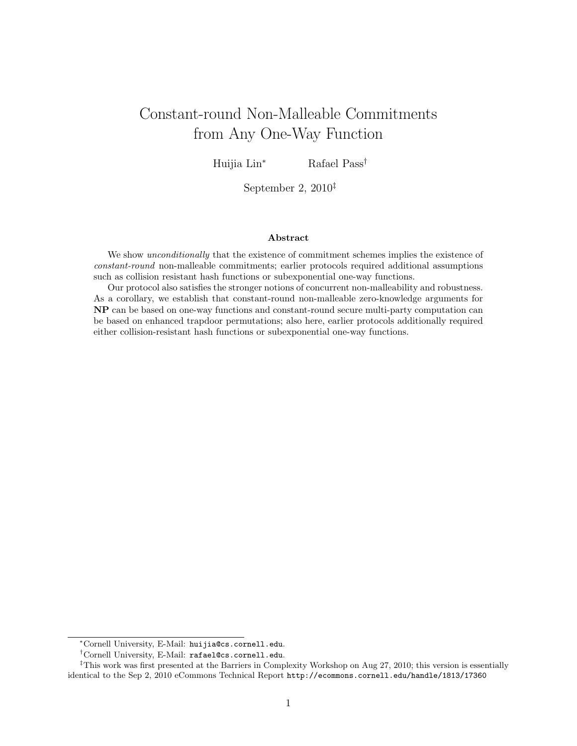# Constant-round Non-Malleable Commitments from Any One-Way Function

Huijia Lin<sup>∗</sup> Rafael Pass†

September 2,  $2010^{\ddagger}$ 

#### Abstract

We show *unconditionally* that the existence of commitment schemes implies the existence of constant-round non-malleable commitments; earlier protocols required additional assumptions such as collision resistant hash functions or subexponential one-way functions.

Our protocol also satisfies the stronger notions of concurrent non-malleability and robustness. As a corollary, we establish that constant-round non-malleable zero-knowledge arguments for NP can be based on one-way functions and constant-round secure multi-party computation can be based on enhanced trapdoor permutations; also here, earlier protocols additionally required either collision-resistant hash functions or subexponential one-way functions.

<sup>∗</sup>Cornell University, E-Mail: huijia@cs.cornell.edu.

<sup>†</sup>Cornell University, E-Mail: rafael@cs.cornell.edu.

<sup>&</sup>lt;sup>‡</sup>This work was first presented at the Barriers in Complexity Workshop on Aug 27, 2010; this version is essentially identical to the Sep 2, 2010 eCommons Technical Report http://ecommons.cornell.edu/handle/1813/17360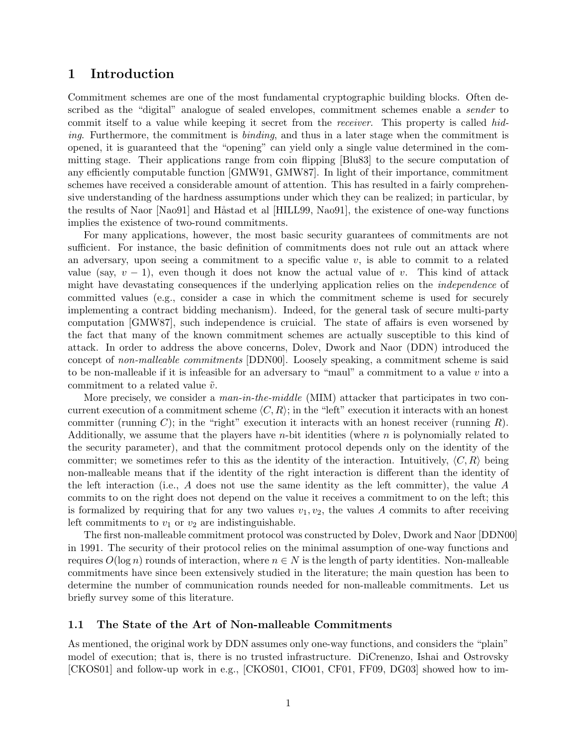# 1 Introduction

Commitment schemes are one of the most fundamental cryptographic building blocks. Often described as the "digital" analogue of sealed envelopes, commitment schemes enable a sender to commit itself to a value while keeping it secret from the *receiver*. This property is called hiding. Furthermore, the commitment is *binding*, and thus in a later stage when the commitment is opened, it is guaranteed that the "opening" can yield only a single value determined in the committing stage. Their applications range from coin flipping [Blu83] to the secure computation of any efficiently computable function [GMW91, GMW87]. In light of their importance, commitment schemes have received a considerable amount of attention. This has resulted in a fairly comprehensive understanding of the hardness assumptions under which they can be realized; in particular, by the results of Naor [Nao91] and Håstad et al [HILL99, Nao91], the existence of one-way functions implies the existence of two-round commitments.

For many applications, however, the most basic security guarantees of commitments are not sufficient. For instance, the basic definition of commitments does not rule out an attack where an adversary, upon seeing a commitment to a specific value  $v$ , is able to commit to a related value (say,  $v - 1$ ), even though it does not know the actual value of v. This kind of attack might have devastating consequences if the underlying application relies on the independence of committed values (e.g., consider a case in which the commitment scheme is used for securely implementing a contract bidding mechanism). Indeed, for the general task of secure multi-party computation [GMW87], such independence is cruicial. The state of affairs is even worsened by the fact that many of the known commitment schemes are actually susceptible to this kind of attack. In order to address the above concerns, Dolev, Dwork and Naor (DDN) introduced the concept of non-malleable commitments [DDN00]. Loosely speaking, a commitment scheme is said to be non-malleable if it is infeasible for an adversary to "maul" a commitment to a value  $v$  into a commitment to a related value  $\tilde{v}$ .

More precisely, we consider a *man-in-the-middle* (MIM) attacker that participates in two concurrent execution of a commitment scheme  $\langle C, R \rangle$ ; in the "left" execution it interacts with an honest committer (running C); in the "right" execution it interacts with an honest receiver (running  $R$ ). Additionally, we assume that the players have *n*-bit identities (where  $n$  is polynomially related to the security parameter), and that the commitment protocol depends only on the identity of the committer; we sometimes refer to this as the identity of the interaction. Intuitively,  $\langle C, R \rangle$  being non-malleable means that if the identity of the right interaction is different than the identity of the left interaction (i.e.,  $A$  does not use the same identity as the left committer), the value  $A$ commits to on the right does not depend on the value it receives a commitment to on the left; this is formalized by requiring that for any two values  $v_1, v_2$ , the values A commits to after receiving left commitments to  $v_1$  or  $v_2$  are indistinguishable.

The first non-malleable commitment protocol was constructed by Dolev, Dwork and Naor [DDN00] in 1991. The security of their protocol relies on the minimal assumption of one-way functions and requires  $O(\log n)$  rounds of interaction, where  $n \in N$  is the length of party identities. Non-malleable commitments have since been extensively studied in the literature; the main question has been to determine the number of communication rounds needed for non-malleable commitments. Let us briefly survey some of this literature.

#### 1.1 The State of the Art of Non-malleable Commitments

As mentioned, the original work by DDN assumes only one-way functions, and considers the "plain" model of execution; that is, there is no trusted infrastructure. DiCrenenzo, Ishai and Ostrovsky [CKOS01] and follow-up work in e.g., [CKOS01, CIO01, CF01, FF09, DG03] showed how to im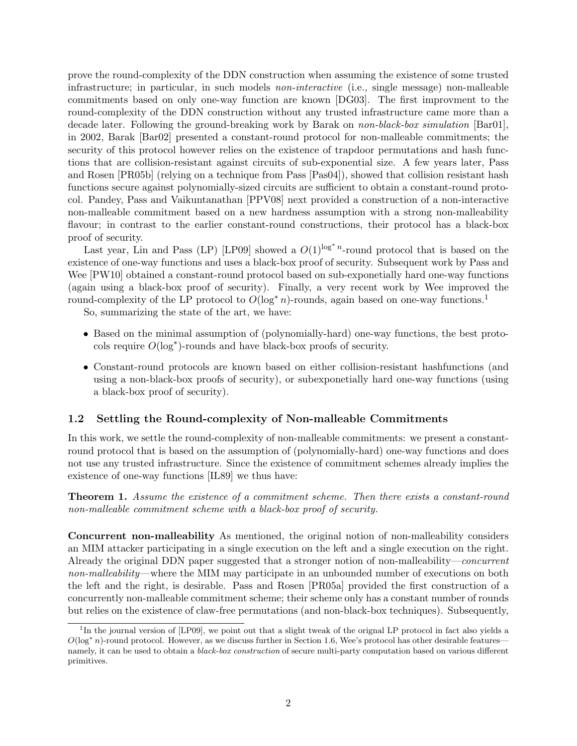prove the round-complexity of the DDN construction when assuming the existence of some trusted infrastructure; in particular, in such models non-interactive (i.e., single message) non-malleable commitments based on only one-way function are known [DG03]. The first improvment to the round-complexity of the DDN construction without any trusted infrastructure came more than a decade later. Following the ground-breaking work by Barak on non-black-box simulation [Bar01], in 2002, Barak [Bar02] presented a constant-round protocol for non-malleable commitments; the security of this protocol however relies on the existence of trapdoor permutations and hash functions that are collision-resistant against circuits of sub-exponential size. A few years later, Pass and Rosen [PR05b] (relying on a technique from Pass [Pas04]), showed that collision resistant hash functions secure against polynomially-sized circuits are sufficient to obtain a constant-round protocol. Pandey, Pass and Vaikuntanathan [PPV08] next provided a construction of a non-interactive non-malleable commitment based on a new hardness assumption with a strong non-malleability flavour; in contrast to the earlier constant-round constructions, their protocol has a black-box proof of security.

Last year, Lin and Pass (LP) [LP09] showed a  $O(1)^{\log^* n}$ -round protocol that is based on the existence of one-way functions and uses a black-box proof of security. Subsequent work by Pass and Wee [PW10] obtained a constant-round protocol based on sub-exponetially hard one-way functions (again using a black-box proof of security). Finally, a very recent work by Wee improved the round-complexity of the LP protocol to  $O(\log^* n)$ -rounds, again based on one-way functions.<sup>1</sup>

So, summarizing the state of the art, we have:

- Based on the minimal assumption of (polynomially-hard) one-way functions, the best protocols require  $O(\log^*$ -rounds and have black-box proofs of security.
- Constant-round protocols are known based on either collision-resistant hashfunctions (and using a non-black-box proofs of security), or subexponetially hard one-way functions (using a black-box proof of security).

### 1.2 Settling the Round-complexity of Non-malleable Commitments

In this work, we settle the round-complexity of non-malleable commitments: we present a constantround protocol that is based on the assumption of (polynomially-hard) one-way functions and does not use any trusted infrastructure. Since the existence of commitment schemes already implies the existence of one-way functions [IL89] we thus have:

Theorem 1. Assume the existence of a commitment scheme. Then there exists a constant-round non-malleable commitment scheme with a black-box proof of security.

Concurrent non-malleability As mentioned, the original notion of non-malleability considers an MIM attacker participating in a single execution on the left and a single execution on the right. Already the original DDN paper suggested that a stronger notion of non-malleability—concurrent non-malleability—where the MIM may participate in an unbounded number of executions on both the left and the right, is desirable. Pass and Rosen [PR05a] provided the first construction of a concurrently non-malleable commitment scheme; their scheme only has a constant number of rounds but relies on the existence of claw-free permutations (and non-black-box techniques). Subsequently,

<sup>&</sup>lt;sup>1</sup>In the journal version of [LP09], we point out that a slight tweak of the orignal LP protocol in fact also yields a  $O(\log^* n)$ -round protocol. However, as we discuss further in Section 1.6, Wee's protocol has other desirable features namely, it can be used to obtain a *black-box construction* of secure multi-party computation based on various different primitives.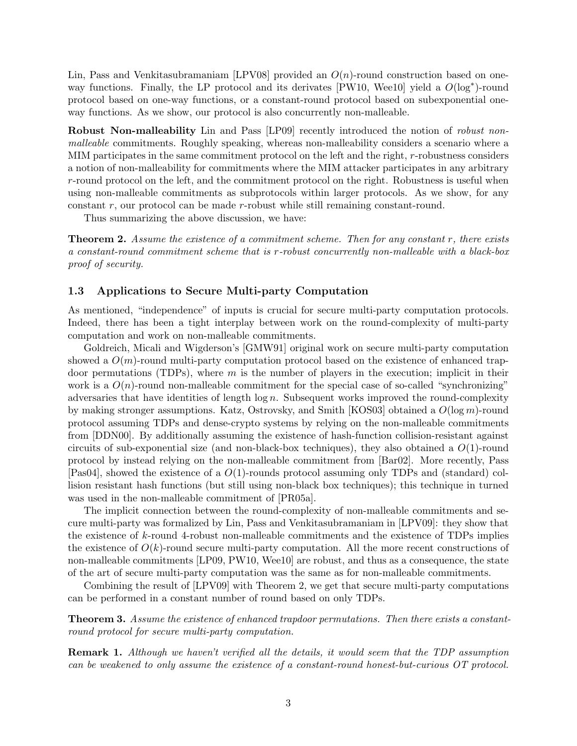Lin, Pass and Venkitasubramaniam [LPV08] provided an  $O(n)$ -round construction based on oneway functions. Finally, the LP protocol and its derivates  $[PW10, Wee10]$  yield a  $O(log^*)$ -round protocol based on one-way functions, or a constant-round protocol based on subexponential oneway functions. As we show, our protocol is also concurrently non-malleable.

Robust Non-malleability Lin and Pass [LP09] recently introduced the notion of robust nonmalleable commitments. Roughly speaking, whereas non-malleability considers a scenario where a MIM participates in the same commitment protocol on the left and the right, r-robustness considers a notion of non-malleability for commitments where the MIM attacker participates in any arbitrary r-round protocol on the left, and the commitment protocol on the right. Robustness is useful when using non-malleable commitments as subprotocols within larger protocols. As we show, for any constant r, our protocol can be made r-robust while still remaining constant-round.

Thus summarizing the above discussion, we have:

**Theorem 2.** Assume the existence of a commitment scheme. Then for any constant r, there exists a constant-round commitment scheme that is r-robust concurrently non-malleable with a black-box proof of security.

### 1.3 Applications to Secure Multi-party Computation

As mentioned, "independence" of inputs is crucial for secure multi-party computation protocols. Indeed, there has been a tight interplay between work on the round-complexity of multi-party computation and work on non-malleable commitments.

Goldreich, Micali and Wigderson's [GMW91] original work on secure multi-party computation showed a  $O(m)$ -round multi-party computation protocol based on the existence of enhanced trapdoor permutations (TDPs), where m is the number of players in the execution; implicit in their work is a  $O(n)$ -round non-malleable commitment for the special case of so-called "synchronizing" adversaries that have identities of length  $log n$ . Subsequent works improved the round-complexity by making stronger assumptions. Katz, Ostrovsky, and Smith [KOS03] obtained a O(log m)-round protocol assuming TDPs and dense-crypto systems by relying on the non-malleable commitments from [DDN00]. By additionally assuming the existence of hash-function collision-resistant against circuits of sub-exponential size (and non-black-box techniques), they also obtained a  $O(1)$ -round protocol by instead relying on the non-malleable commitment from [Bar02]. More recently, Pass [Pas04], showed the existence of a O(1)-rounds protocol assuming only TDPs and (standard) collision resistant hash functions (but still using non-black box techniques); this technique in turned was used in the non-malleable commitment of [PR05a].

The implicit connection between the round-complexity of non-malleable commitments and secure multi-party was formalized by Lin, Pass and Venkitasubramaniam in [LPV09]: they show that the existence of k-round 4-robust non-malleable commitments and the existence of TDPs implies the existence of  $O(k)$ -round secure multi-party computation. All the more recent constructions of non-malleable commitments [LP09, PW10, Wee10] are robust, and thus as a consequence, the state of the art of secure multi-party computation was the same as for non-malleable commitments.

Combining the result of [LPV09] with Theorem 2, we get that secure multi-party computations can be performed in a constant number of round based on only TDPs.

Theorem 3. Assume the existence of enhanced trapdoor permutations. Then there exists a constantround protocol for secure multi-party computation.

Remark 1. Although we haven't verified all the details, it would seem that the TDP assumption can be weakened to only assume the existence of a constant-round honest-but-curious OT protocol.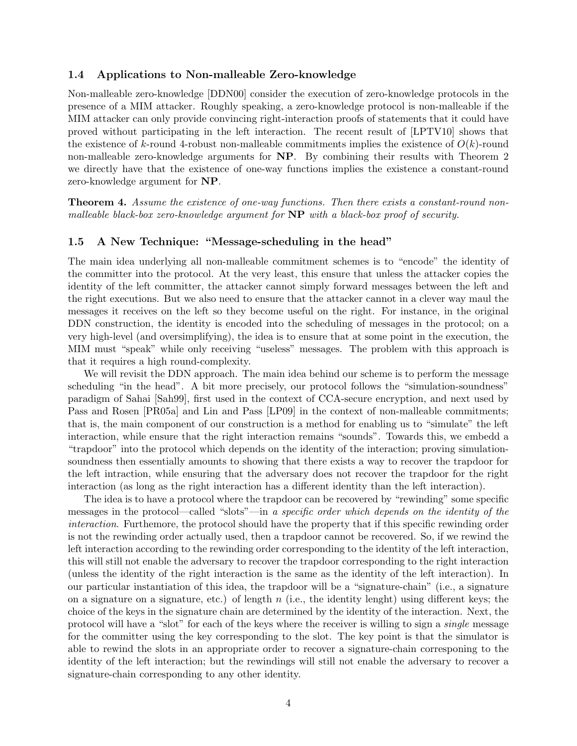### 1.4 Applications to Non-malleable Zero-knowledge

Non-malleable zero-knowledge [DDN00] consider the execution of zero-knowledge protocols in the presence of a MIM attacker. Roughly speaking, a zero-knowledge protocol is non-malleable if the MIM attacker can only provide convincing right-interaction proofs of statements that it could have proved without participating in the left interaction. The recent result of [LPTV10] shows that the existence of k-round 4-robust non-malleable commitments implies the existence of  $O(k)$ -round non-malleable zero-knowledge arguments for NP. By combining their results with Theorem 2 we directly have that the existence of one-way functions implies the existence a constant-round zero-knowledge argument for NP.

Theorem 4. Assume the existence of one-way functions. Then there exists a constant-round nonmalleable black-box zero-knowledge argument for  $NP$  with a black-box proof of security.

#### 1.5 A New Technique: "Message-scheduling in the head"

The main idea underlying all non-malleable commitment schemes is to "encode" the identity of the committer into the protocol. At the very least, this ensure that unless the attacker copies the identity of the left committer, the attacker cannot simply forward messages between the left and the right executions. But we also need to ensure that the attacker cannot in a clever way maul the messages it receives on the left so they become useful on the right. For instance, in the original DDN construction, the identity is encoded into the scheduling of messages in the protocol; on a very high-level (and oversimplifying), the idea is to ensure that at some point in the execution, the MIM must "speak" while only receiving "useless" messages. The problem with this approach is that it requires a high round-complexity.

We will revisit the DDN approach. The main idea behind our scheme is to perform the message scheduling "in the head". A bit more precisely, our protocol follows the "simulation-soundness" paradigm of Sahai [Sah99], first used in the context of CCA-secure encryption, and next used by Pass and Rosen [PR05a] and Lin and Pass [LP09] in the context of non-malleable commitments; that is, the main component of our construction is a method for enabling us to "simulate" the left interaction, while ensure that the right interaction remains "sounds". Towards this, we embedd a "trapdoor" into the protocol which depends on the identity of the interaction; proving simulationsoundness then essentially amounts to showing that there exists a way to recover the trapdoor for the left intraction, while ensuring that the adversary does not recover the trapdoor for the right interaction (as long as the right interaction has a different identity than the left interaction).

The idea is to have a protocol where the trapdoor can be recovered by "rewinding" some specific messages in the protocol—called "slots"—in a specific order which depends on the identity of the interaction. Furthemore, the protocol should have the property that if this specific rewinding order is not the rewinding order actually used, then a trapdoor cannot be recovered. So, if we rewind the left interaction according to the rewinding order corresponding to the identity of the left interaction, this will still not enable the adversary to recover the trapdoor corresponding to the right interaction (unless the identity of the right interaction is the same as the identity of the left interaction). In our particular instantiation of this idea, the trapdoor will be a "signature-chain" (i.e., a signature on a signature on a signature, etc.) of length  $n$  (i.e., the identity lenght) using different keys; the choice of the keys in the signature chain are determined by the identity of the interaction. Next, the protocol will have a "slot" for each of the keys where the receiver is willing to sign a single message for the committer using the key corresponding to the slot. The key point is that the simulator is able to rewind the slots in an appropriate order to recover a signature-chain corresponing to the identity of the left interaction; but the rewindings will still not enable the adversary to recover a signature-chain corresponding to any other identity.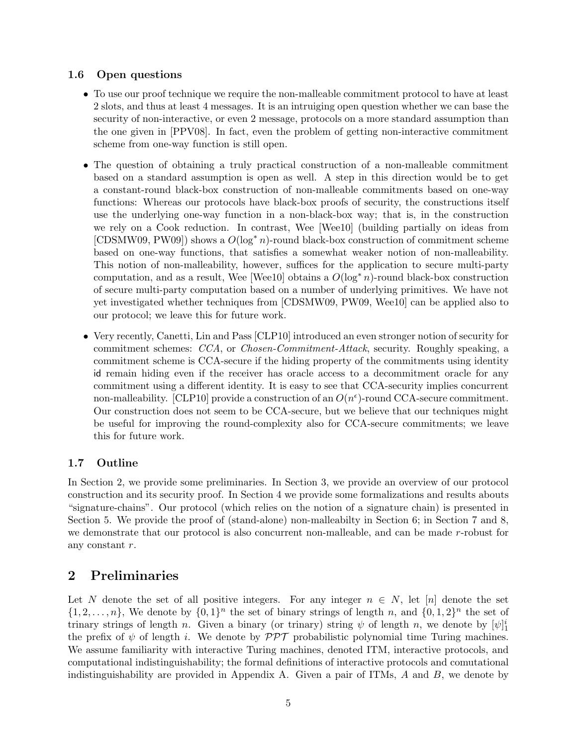# 1.6 Open questions

- To use our proof technique we require the non-malleable commitment protocol to have at least 2 slots, and thus at least 4 messages. It is an intruiging open question whether we can base the security of non-interactive, or even 2 message, protocols on a more standard assumption than the one given in [PPV08]. In fact, even the problem of getting non-interactive commitment scheme from one-way function is still open.
- The question of obtaining a truly practical construction of a non-malleable commitment based on a standard assumption is open as well. A step in this direction would be to get a constant-round black-box construction of non-malleable commitments based on one-way functions: Whereas our protocols have black-box proofs of security, the constructions itself use the underlying one-way function in a non-black-box way; that is, in the construction we rely on a Cook reduction. In contrast, Wee [Wee10] (building partially on ideas from  $[CDSMW09, PW09]$  shows a  $O(log^* n)$ -round black-box construction of commitment scheme based on one-way functions, that satisfies a somewhat weaker notion of non-malleability. This notion of non-malleability, however, suffices for the application to secure multi-party computation, and as a result, Wee [Wee10] obtains a  $O(\log^* n)$ -round black-box construction of secure multi-party computation based on a number of underlying primitives. We have not yet investigated whether techniques from [CDSMW09, PW09, Wee10] can be applied also to our protocol; we leave this for future work.
- Very recently, Canetti, Lin and Pass [CLP10] introduced an even stronger notion of security for commitment schemes: CCA, or Chosen-Commitment-Attack, security. Roughly speaking, a commitment scheme is CCA-secure if the hiding property of the commitments using identity id remain hiding even if the receiver has oracle access to a decommitment oracle for any commitment using a different identity. It is easy to see that CCA-security implies concurrent non-malleability. [CLP10] provide a construction of an  $O(n^{\epsilon})$ -round CCA-secure commitment. Our construction does not seem to be CCA-secure, but we believe that our techniques might be useful for improving the round-complexity also for CCA-secure commitments; we leave this for future work.

# 1.7 Outline

In Section 2, we provide some preliminaries. In Section 3, we provide an overview of our protocol construction and its security proof. In Section 4 we provide some formalizations and results abouts "signature-chains". Our protocol (which relies on the notion of a signature chain) is presented in Section 5. We provide the proof of (stand-alone) non-malleabilty in Section 6; in Section 7 and 8, we demonstrate that our protocol is also concurrent non-malleable, and can be made r-robust for any constant r.

# 2 Preliminaries

Let N denote the set of all positive integers. For any integer  $n \in N$ , let [n] denote the set  $\{1, 2, \ldots, n\}$ , We denote by  $\{0, 1\}^n$  the set of binary strings of length n, and  $\{0, 1, 2\}^n$  the set of trinary strings of length n. Given a binary (or trinary) string  $\psi$  of length n, we denote by  $[\psi]_1^i$ the prefix of  $\psi$  of length i. We denote by  $\mathcal{PPT}$  probabilistic polynomial time Turing machines. We assume familiarity with interactive Turing machines, denoted ITM, interactive protocols, and computational indistinguishability; the formal definitions of interactive protocols and comutational indistinguishability are provided in Appendix A. Given a pair of ITMs,  $A$  and  $B$ , we denote by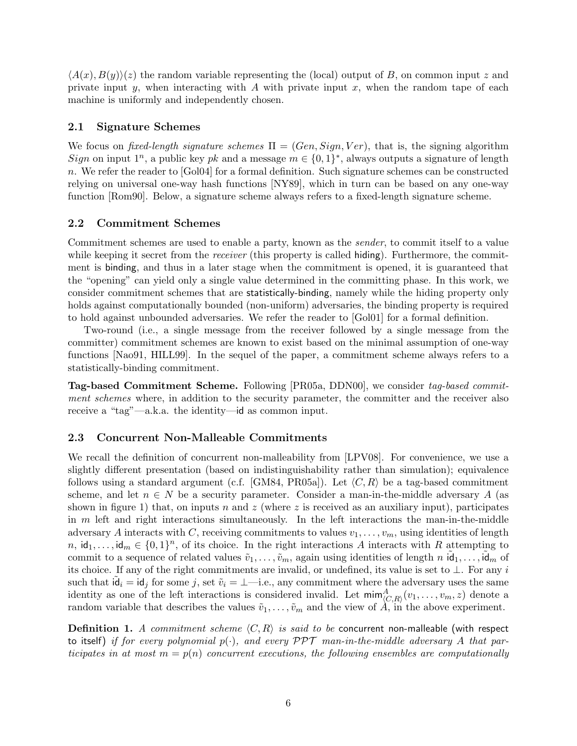$\langle A(x), B(y)\rangle(z)$  the random variable representing the (local) output of B, on common input z and private input y, when interacting with A with private input  $x$ , when the random tape of each machine is uniformly and independently chosen.

### 2.1 Signature Schemes

We focus on fixed-length signature schemes  $\Pi = (Gen, Sign, Ver)$ , that is, the signing algorithm Sign on input  $1^n$ , a public key pk and a message  $m \in \{0,1\}^*$ , always outputs a signature of length n. We refer the reader to [Gol04] for a formal definition. Such signature schemes can be constructed relying on universal one-way hash functions [NY89], which in turn can be based on any one-way function [Rom90]. Below, a signature scheme always refers to a fixed-length signature scheme.

### 2.2 Commitment Schemes

Commitment schemes are used to enable a party, known as the sender, to commit itself to a value while keeping it secret from the *receiver* (this property is called hiding). Furthermore, the commitment is binding, and thus in a later stage when the commitment is opened, it is guaranteed that the "opening" can yield only a single value determined in the committing phase. In this work, we consider commitment schemes that are statistically-binding, namely while the hiding property only holds against computationally bounded (non-uniform) adversaries, the binding property is required to hold against unbounded adversaries. We refer the reader to [Gol01] for a formal definition.

Two-round (i.e., a single message from the receiver followed by a single message from the committer) commitment schemes are known to exist based on the minimal assumption of one-way functions [Nao91, HILL99]. In the sequel of the paper, a commitment scheme always refers to a statistically-binding commitment.

Tag-based Commitment Scheme. Following [PR05a, DDN00], we consider tag-based commitment schemes where, in addition to the security parameter, the committer and the receiver also receive a "tag"—a.k.a. the identity—id as common input.

### 2.3 Concurrent Non-Malleable Commitments

We recall the definition of concurrent non-malleability from [LPV08]. For convenience, we use a slightly different presentation (based on indistinguishability rather than simulation); equivalence follows using a standard argument (c.f. [GM84, PR05a]). Let  $\langle C, R \rangle$  be a tag-based commitment scheme, and let  $n \in N$  be a security parameter. Consider a man-in-the-middle adversary A (as shown in figure 1) that, on inputs n and z (where z is received as an auxiliary input), participates in m left and right interactions simultaneously. In the left interactions the man-in-the-middle adversary A interacts with C, receiving commitments to values  $v_1, \ldots, v_m$ , using identities of length n,  $id_1, \ldots, id_m \in \{0,1\}^n$ , of its choice. In the right interactions A interacts with R attempting to commit to a sequence of related values  $\tilde{v}_1, \ldots, \tilde{v}_m$ , again using identities of length  $n \tilde{id}_1, \ldots, \tilde{id}_m$  of its choice. If any of the right commitments are invalid, or undefined, its value is set to  $\bot$ . For any i such that  $id_i = id_j$  for some j, set  $\tilde{v}_i = \bot$ —i.e., any commitment where the adversary uses the same identity as one of the left interactions is considered invalid. Let  $\min_{(C,R)}^A(v_1,\ldots,v_m,z)$  denote a random variable that describes the values  $\tilde{v}_1, \ldots, \tilde{v}_m$  and the view of  $\tilde{A}$ , in the above experiment.

**Definition 1.** A commitment scheme  $\langle C, R \rangle$  is said to be concurrent non-malleable (with respect to itself) if for every polynomial  $p(\cdot)$ , and every PPT man-in-the-middle adversary A that participates in at most  $m = p(n)$  concurrent executions, the following ensembles are computationally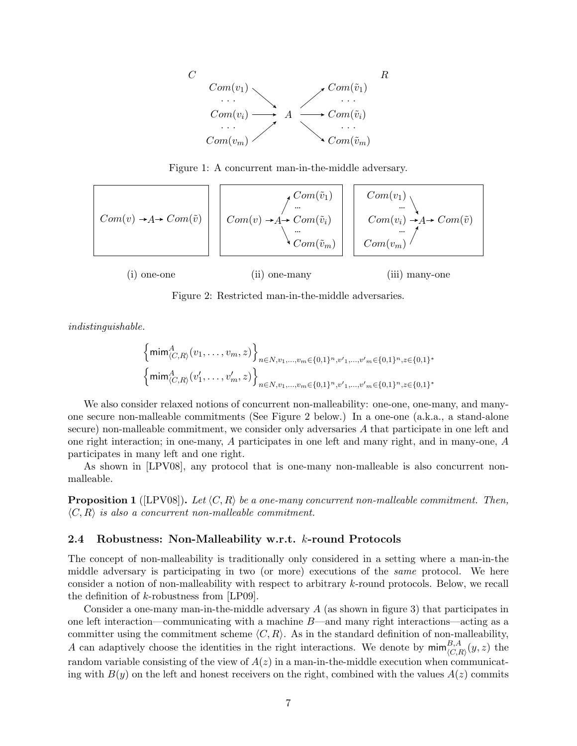

Figure 1: A concurrent man-in-the-middle adversary.

$$
Com(v) \rightarrow A \rightarrow Com(\tilde{v})
$$
\n
$$
Com(v) \rightarrow A \rightarrow Com(\tilde{v})
$$
\n
$$
Com(v) \rightarrow A \rightarrow Com(\tilde{v}_i)
$$
\n
$$
Com(\tilde{v}_i)
$$
\n
$$
Com(\tilde{v}_m)
$$
\n
$$
Com(\tilde{v}_m)
$$
\n
$$
Com(v_i) \rightarrow A \rightarrow Com(\tilde{v})
$$
\n
$$
Com(v_m)
$$
\n
$$
Com(v_m)
$$
\n
$$
Com(v_m)
$$
\n
$$
Com(v_m)
$$
\n
$$
Com(v_m)
$$
\n
$$
Com(v_m)
$$
\n
$$
Com(v_m)
$$
\n
$$
Com(v_m)
$$
\n
$$
Com(v_m)
$$
\n
$$
Com(v_m)
$$
\n
$$
Com(v_m)
$$
\n
$$
Com(v_m)
$$
\n
$$
Com(v_m)
$$
\n
$$
Com(v_m)
$$
\n
$$
Com(v_m)
$$
\n
$$
Com(v_m)
$$
\n
$$
Com(v_m)
$$
\n
$$
Com(v_m)
$$
\n
$$
Com(v_m)
$$
\n
$$
Com(v_m)
$$
\n
$$
Com(v_m)
$$
\n
$$
Com(v_m)
$$
\n
$$
Com(v_m)
$$
\n
$$
Com(v_m)
$$
\n
$$
Com(v_m)
$$

Figure 2: Restricted man-in-the-middle adversaries.

indistinguishable.

$$
\left\{\min_{(C,R)}^{A}(v_1,\ldots,v_m,z)\right\}_{n\in N,v_1,\ldots,v_m\in\{0,1\}^n,v',1,\ldots,v'_m\in\{0,1\}^n,z\in\{0,1\}^n}
$$
\n
$$
\left\{\min_{(C,R)}^{A}(v'_1,\ldots,v'_m,z)\right\}_{n\in N,v_1,\ldots,v_m\in\{0,1\}^n,v',1,\ldots,v'_m\in\{0,1\}^n,z\in\{0,1\}^n}
$$

We also consider relaxed notions of concurrent non-malleability: one-one, one-many, and manyone secure non-malleable commitments (See Figure 2 below.) In a one-one (a.k.a., a stand-alone secure) non-malleable commitment, we consider only adversaries A that participate in one left and one right interaction; in one-many, A participates in one left and many right, and in many-one, A participates in many left and one right.

As shown in [LPV08], any protocol that is one-many non-malleable is also concurrent nonmalleable.

**Proposition 1** ([LPV08]). Let  $\langle C, R \rangle$  be a one-many concurrent non-malleable commitment. Then,  $\langle C, R \rangle$  is also a concurrent non-malleable commitment.

#### 2.4 Robustness: Non-Malleability w.r.t. k-round Protocols

The concept of non-malleability is traditionally only considered in a setting where a man-in-the middle adversary is participating in two (or more) executions of the same protocol. We here consider a notion of non-malleability with respect to arbitrary k-round protocols. Below, we recall the definition of k-robustness from [LP09].

Consider a one-many man-in-the-middle adversary  $A$  (as shown in figure 3) that participates in one left interaction—communicating with a machine B—and many right interactions—acting as a committer using the commitment scheme  $\langle C, R \rangle$ . As in the standard definition of non-malleability, A can adaptively choose the identities in the right interactions. We denote by  $\min_{(C,R)}^{B,A}(y,z)$  the random variable consisting of the view of  $A(z)$  in a man-in-the-middle execution when communicating with  $B(y)$  on the left and honest receivers on the right, combined with the values  $A(z)$  commits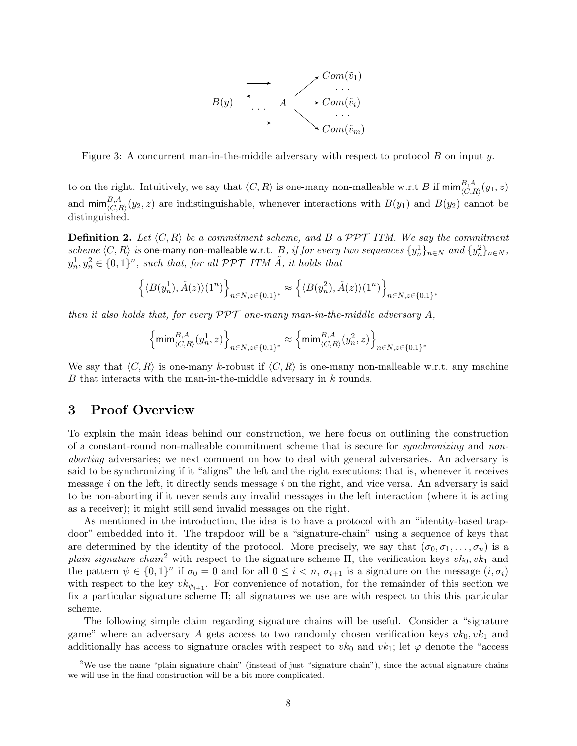

Figure 3: A concurrent man-in-the-middle adversary with respect to protocol  $B$  on input  $y$ .

to on the right. Intuitively, we say that  $\langle C, R \rangle$  is one-many non-malleable w.r.t B if  $\min_{\langle C, R \rangle}^{B,A}(y_1, z)$ and  $\min_{(C,R)}^{B,A}(y_2,z)$  are indistinguishable, whenever interactions with  $B(y_1)$  and  $B(y_2)$  cannot be distinguished.

**Definition 2.** Let  $\langle C, R \rangle$  be a commitment scheme, and B a PPT ITM. We say the commitment scheme  $\langle C, R \rangle$  is one-many non-malleable w.r.t.  $B$ , if for every two sequences  $\{y_n^1\}_{n\in N}$  and  $\{y_n^2\}_{n\in N}$ ,  $y_n^1, y_n^2 \in \{0,1\}^n$ , such that, for all PPT ITM  $\tilde{A}$ , it holds that

$$
\left\{ \langle B(y_n^1), \tilde{A}(z) \rangle (1^n) \right\}_{n \in N, z \in \{0, 1\}^*} \approx \left\{ \langle B(y_n^2), \tilde{A}(z) \rangle (1^n) \right\}_{n \in N, z \in \{0, 1\}}
$$

∗

then it also holds that, for every  $\mathcal{PPT}$  one-many man-in-the-middle adversary A,

$$
\left\{ \min_{\langle C,R \rangle}^{B,A} (y_n^1, z) \right\}_{n \in N, z \in \{0,1\}^*} \approx \left\{ \min_{\langle C,R \rangle}^{B,A} (y_n^2, z) \right\}_{n \in N, z \in \{0,1\}^*}
$$

We say that  $\langle C, R \rangle$  is one-many k-robust if  $\langle C, R \rangle$  is one-many non-malleable w.r.t. any machine B that interacts with the man-in-the-middle adversary in  $k$  rounds.

# 3 Proof Overview

To explain the main ideas behind our construction, we here focus on outlining the construction of a constant-round non-malleable commitment scheme that is secure for synchronizing and nonaborting adversaries; we next comment on how to deal with general adversaries. An adversary is said to be synchronizing if it "aligns" the left and the right executions; that is, whenever it receives message  $i$  on the left, it directly sends message  $i$  on the right, and vice versa. An adversary is said to be non-aborting if it never sends any invalid messages in the left interaction (where it is acting as a receiver); it might still send invalid messages on the right.

As mentioned in the introduction, the idea is to have a protocol with an "identity-based trapdoor" embedded into it. The trapdoor will be a "signature-chain" using a sequence of keys that are determined by the identity of the protocol. More precisely, we say that  $(\sigma_0, \sigma_1, \ldots, \sigma_n)$  is a plain signature chain<sup>2</sup> with respect to the signature scheme Π, the verification keys  $vk_0, vk_1$  and the pattern  $\psi \in \{0,1\}^n$  if  $\sigma_0 = 0$  and for all  $0 \leq i < n$ ,  $\sigma_{i+1}$  is a signature on the message  $(i, \sigma_i)$ with respect to the key  $vk_{\psi_{i+1}}$ . For convenience of notation, for the remainder of this section we fix a particular signature scheme Π; all signatures we use are with respect to this this particular scheme.

The following simple claim regarding signature chains will be useful. Consider a "signature game" where an adversary A gets access to two randomly chosen verification keys  $vk_0, vk_1$  and additionally has access to signature oracles with respect to  $vk_0$  and  $vk_1$ ; let  $\varphi$  denote the "access"

<sup>&</sup>lt;sup>2</sup>We use the name "plain signature chain" (instead of just "signature chain"), since the actual signature chains we will use in the final construction will be a bit more complicated.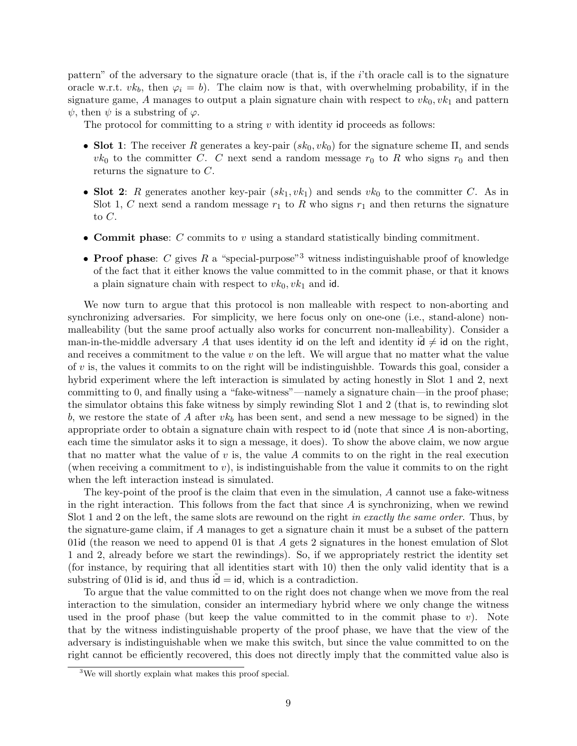pattern" of the adversary to the signature oracle (that is, if the  $i$ 'th oracle call is to the signature oracle w.r.t.  $vk_b$ , then  $\varphi_i = b$ ). The claim now is that, with overwhelming probability, if in the signature game, A manages to output a plain signature chain with respect to  $vk_0, vk_1$  and pattern  $\psi$ , then  $\psi$  is a substring of  $\varphi$ .

The protocol for committing to a string  $v$  with identity id proceeds as follows:

- Slot 1: The receiver R generates a key-pair  $(s k_0, v k_0)$  for the signature scheme II, and sends  $vk_0$  to the committer C. C next send a random message  $r_0$  to R who signs  $r_0$  and then returns the signature to C.
- Slot 2: R generates another key-pair  $(sk_1, vk_1)$  and sends  $vk_0$  to the committer C. As in Slot 1, C next send a random message  $r_1$  to R who signs  $r_1$  and then returns the signature to C.
- Commit phase:  $C$  commits to  $v$  using a standard statistically binding commitment.
- Proof phase: C gives R a "special-purpose"<sup>3</sup> witness indistinguishable proof of knowledge of the fact that it either knows the value committed to in the commit phase, or that it knows a plain signature chain with respect to  $vk_0, vk_1$  and id.

We now turn to argue that this protocol is non malleable with respect to non-aborting and synchronizing adversaries. For simplicity, we here focus only on one-one (i.e., stand-alone) nonmalleability (but the same proof actually also works for concurrent non-malleability). Consider a man-in-the-middle adversary A that uses identity id on the left and identity  $\mathsf{id} \neq \mathsf{id}$  on the right, and receives a commitment to the value  $v$  on the left. We will argue that no matter what the value of  $v$  is, the values it commits to on the right will be indistinguishble. Towards this goal, consider a hybrid experiment where the left interaction is simulated by acting honestly in Slot 1 and 2, next committing to 0, and finally using a "fake-witness"—namely a signature chain—in the proof phase; the simulator obtains this fake witness by simply rewinding Slot 1 and 2 (that is, to rewinding slot b, we restore the state of A after  $vk_b$  has been sent, and send a new message to be signed) in the appropriate order to obtain a signature chain with respect to id (note that since  $A$  is non-aborting, each time the simulator asks it to sign a message, it does). To show the above claim, we now argue that no matter what the value of  $v$  is, the value A commits to on the right in the real execution (when receiving a commitment to  $v$ ), is indistinguishable from the value it commits to on the right when the left interaction instead is simulated.

The key-point of the proof is the claim that even in the simulation, A cannot use a fake-witness in the right interaction. This follows from the fact that since  $\vec{A}$  is synchronizing, when we rewind Slot 1 and 2 on the left, the same slots are rewound on the right in exactly the same order. Thus, by the signature-game claim, if A manages to get a signature chain it must be a subset of the pattern 01id (the reason we need to append 01 is that A gets 2 signatures in the honest emulation of Slot 1 and 2, already before we start the rewindings). So, if we appropriately restrict the identity set (for instance, by requiring that all identities start with 10) then the only valid identity that is a substring of 01id is id, and thus  $id = id$ , which is a contradiction.

To argue that the value committed to on the right does not change when we move from the real interaction to the simulation, consider an intermediary hybrid where we only change the witness used in the proof phase (but keep the value committed to in the commit phase to  $v$ ). Note that by the witness indistinguishable property of the proof phase, we have that the view of the adversary is indistinguishable when we make this switch, but since the value committed to on the right cannot be efficiently recovered, this does not directly imply that the committed value also is

<sup>3</sup>We will shortly explain what makes this proof special.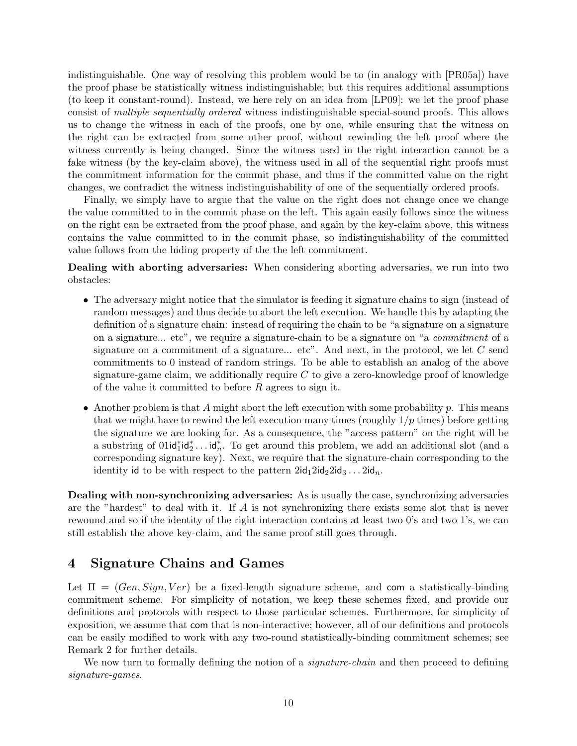indistinguishable. One way of resolving this problem would be to (in analogy with [PR05a]) have the proof phase be statistically witness indistinguishable; but this requires additional assumptions (to keep it constant-round). Instead, we here rely on an idea from [LP09]: we let the proof phase consist of multiple sequentially ordered witness indistinguishable special-sound proofs. This allows us to change the witness in each of the proofs, one by one, while ensuring that the witness on the right can be extracted from some other proof, without rewinding the left proof where the witness currently is being changed. Since the witness used in the right interaction cannot be a fake witness (by the key-claim above), the witness used in all of the sequential right proofs must the commitment information for the commit phase, and thus if the committed value on the right changes, we contradict the witness indistinguishability of one of the sequentially ordered proofs.

Finally, we simply have to argue that the value on the right does not change once we change the value committed to in the commit phase on the left. This again easily follows since the witness on the right can be extracted from the proof phase, and again by the key-claim above, this witness contains the value committed to in the commit phase, so indistinguishability of the committed value follows from the hiding property of the the left commitment.

Dealing with aborting adversaries: When considering aborting adversaries, we run into two obstacles:

- The adversary might notice that the simulator is feeding it signature chains to sign (instead of random messages) and thus decide to abort the left execution. We handle this by adapting the definition of a signature chain: instead of requiring the chain to be "a signature on a signature on a signature... etc", we require a signature-chain to be a signature on "a *commitment* of a signature on a commitment of a signature... etc". And next, in the protocol, we let  $C$  send commitments to 0 instead of random strings. To be able to establish an analog of the above signature-game claim, we additionally require  $C$  to give a zero-knowledge proof of knowledge of the value it committed to before  $R$  agrees to sign it.
- Another problem is that A might abort the left execution with some probability  $p$ . This means that we might have to rewind the left execution many times (roughly  $1/p$  times) before getting the signature we are looking for. As a consequence, the "access pattern" on the right will be a substring of  $01id_1^*id_2^* \dots id_n^*$ . To get around this problem, we add an additional slot (and a corresponding signature key). Next, we require that the signature-chain corresponding to the identity id to be with respect to the pattern  $2id_12id_22id_3 \ldots 2id_n$ .

Dealing with non-synchronizing adversaries: As is usually the case, synchronizing adversaries are the "hardest" to deal with it. If A is not synchronizing there exists some slot that is never rewound and so if the identity of the right interaction contains at least two 0's and two 1's, we can still establish the above key-claim, and the same proof still goes through.

# 4 Signature Chains and Games

Let  $\Pi = (Gen, Sign, Ver)$  be a fixed-length signature scheme, and com a statistically-binding commitment scheme. For simplicity of notation, we keep these schemes fixed, and provide our definitions and protocols with respect to those particular schemes. Furthermore, for simplicity of exposition, we assume that com that is non-interactive; however, all of our definitions and protocols can be easily modified to work with any two-round statistically-binding commitment schemes; see Remark 2 for further details.

We now turn to formally defining the notion of a *signature-chain* and then proceed to defining signature-games.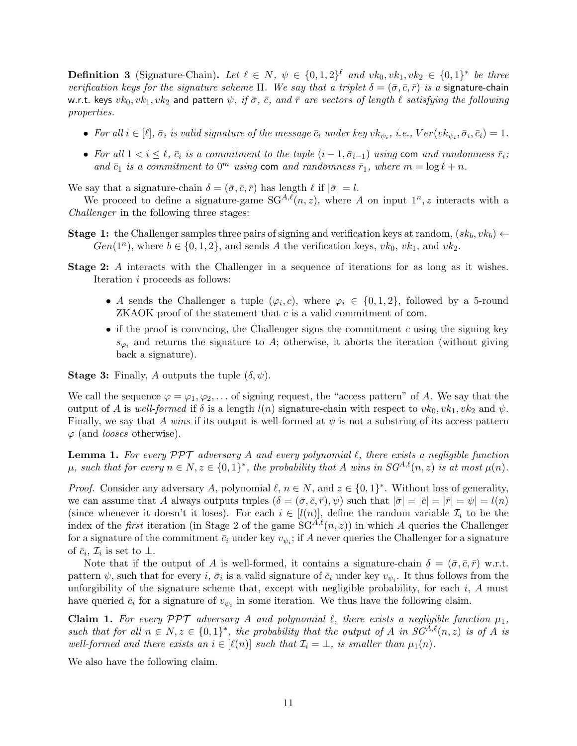**Definition 3** (Signature-Chain). Let  $\ell \in N$ ,  $\psi \in \{0,1,2\}^{\ell}$  and  $vk_0, vk_1, vk_2 \in \{0,1\}^*$  be three verification keys for the signature scheme  $\Pi$ . We say that a triplet  $\delta = (\bar{\sigma}, \bar{c}, \bar{r})$  is a signature-chain w.r.t. keys  $vk_0, vk_1, vk_2$  and pattern  $\psi$ , if  $\bar{\sigma}$ ,  $\bar{c}$ , and  $\bar{r}$  are vectors of length  $\ell$  satisfying the following properties.

- For all  $i \in [\ell], \bar{\sigma}_i$  is valid signature of the message  $\bar{c}_i$  under key  $vk_{\psi_i}$ , i.e.,  $Ver(vk_{\psi_i}, \bar{\sigma}_i, \bar{c}_i) = 1$ .
- For all  $1 < i \leq \ell$ ,  $\bar{c}_i$  is a commitment to the tuple  $(i 1, \bar{\sigma}_{i-1})$  using com and randomness  $\bar{r}_i$ ; and  $\bar{c}_1$  is a commitment to  $0^m$  using com and randomness  $\bar{r}_1$ , where  $m = \log \ell + n$ .

We say that a signature-chain  $\delta = (\bar{\sigma}, \bar{c}, \bar{r})$  has length  $\ell$  if  $|\bar{\sigma}| = l$ .

We proceed to define a signature-game  $SG^{A,\ell}(n, z)$ , where A on input  $1^n, z$  interacts with a Challenger in the following three stages:

- **Stage 1:** the Challenger samples three pairs of signing and verification keys at random,  $(sk_b, vk_b) \leftarrow$  $Gen(1<sup>n</sup>)$ , where  $b \in \{0, 1, 2\}$ , and sends A the verification keys,  $vk_0$ ,  $vk_1$ , and  $vk_2$ .
- Stage 2: A interacts with the Challenger in a sequence of iterations for as long as it wishes. Iteration i proceeds as follows:
	- A sends the Challenger a tuple  $(\varphi_i, c)$ , where  $\varphi_i \in \{0, 1, 2\}$ , followed by a 5-round ZKAOK proof of the statement that c is a valid commitment of com.
	- if the proof is convncing, the Challenger signs the commitment  $c$  using the signing key  $s_{\varphi_i}$  and returns the signature to A; otherwise, it aborts the iteration (without giving back a signature).

**Stage 3:** Finally, A outputs the tuple  $(\delta, \psi)$ .

We call the sequence  $\varphi = \varphi_1, \varphi_2, \ldots$  of signing request, the "access pattern" of A. We say that the output of A is well-formed if  $\delta$  is a length  $l(n)$  signature-chain with respect to  $vk_0, vk_1, vk_2$  and  $\psi$ . Finally, we say that A wins if its output is well-formed at  $\psi$  is not a substring of its access pattern  $\varphi$  (and *looses* otherwise).

**Lemma 1.** For every  $PPT$  adversary A and every polynomial  $\ell$ , there exists a negligible function  $\mu$ , such that for every  $n \in N$ ,  $z \in \{0,1\}^*$ , the probability that A wins in  $SG^{A,\ell}(n,z)$  is at most  $\mu(n)$ .

*Proof.* Consider any adversary A, polynomial  $\ell, n \in N$ , and  $z \in \{0, 1\}^*$ . Without loss of generality, we can assume that A always outputs tuples  $(\delta = (\bar{\sigma}, \bar{c}, \bar{r}), \psi)$  such that  $|\bar{\sigma}| = |\bar{c}| = |\bar{r}| = \psi| = l(n)$ (since whenever it doesn't it loses). For each  $i \in [l(n)]$ , define the random variable  $\mathcal{I}_i$  to be the index of the *first* iteration (in Stage 2 of the game  $SG^{A,\ell}(n,z)$ ) in which A queries the Challenger for a signature of the commitment  $\bar{c}_i$  under key  $v_{\psi_i}$ ; if A never queries the Challenger for a signature of  $\bar{c}_i$ ,  $\mathcal{I}_i$  is set to  $\perp$ .

Note that if the output of A is well-formed, it contains a signature-chain  $\delta = (\bar{\sigma}, \bar{c}, \bar{r})$  w.r.t. pattern  $\psi$ , such that for every i,  $\bar{\sigma}_i$  is a valid signature of  $\bar{c}_i$  under key  $v_{\psi_i}$ . It thus follows from the unforgibility of the signature scheme that, except with negligible probability, for each  $i$ , A must have queried  $\bar{c}_i$  for a signature of  $v_{\psi_i}$  in some iteration. We thus have the following claim.

**Claim 1.** For every PPT adversary A and polynomial  $\ell$ , there exists a negligible function  $\mu_1$ , such that for all  $n \in N$ ,  $z \in \{0,1\}^*$ , the probability that the output of A in  $SG^{A,\ell}(n,z)$  is of A is well-formed and there exists an  $i \in [\ell(n)]$  such that  $\mathcal{I}_i = \bot$ , is smaller than  $\mu_1(n)$ .

We also have the following claim.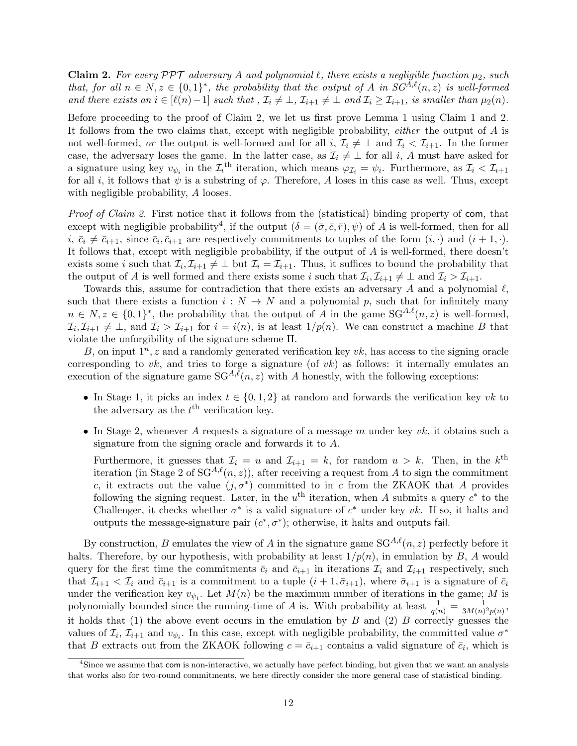**Claim 2.** For every PPT adversary A and polynomial  $\ell$ , there exists a negligible function  $\mu_2$ , such that, for all  $n \in N$ ,  $z \in \{0,1\}^*$ , the probability that the output of A in  $SG^{A,\ell}(n,z)$  is well-formed and there exists an  $i \in [\ell(n)-1]$  such that ,  $\mathcal{I}_i \neq \bot$ ,  $\mathcal{I}_{i+1} \neq \bot$  and  $\mathcal{I}_i \geq \mathcal{I}_{i+1}$ , is smaller than  $\mu_2(n)$ .

Before proceeding to the proof of Claim 2, we let us first prove Lemma 1 using Claim 1 and 2. It follows from the two claims that, except with negligible probability, either the output of A is not well-formed, or the output is well-formed and for all  $i, \mathcal{I}_i \neq \bot$  and  $\mathcal{I}_i < \mathcal{I}_{i+1}$ . In the former case, the adversary loses the game. In the latter case, as  $\mathcal{I}_i \neq \bot$  for all i, A must have asked for a signature using key  $v_{\psi_i}$  in the  $\mathcal{I}_i$ <sup>th</sup> iteration, which means  $\varphi_{\mathcal{I}_i} = \psi_i$ . Furthermore, as  $\mathcal{I}_i < \mathcal{I}_{i+1}$ for all i, it follows that  $\psi$  is a substring of  $\varphi$ . Therefore, A loses in this case as well. Thus, except with negligible probability, A looses.

Proof of Claim 2. First notice that it follows from the (statistical) binding property of com, that except with negligible probability<sup>4</sup>, if the output  $(\delta = (\bar{\sigma}, \bar{c}, \bar{r}), \psi)$  of A is well-formed, then for all  $i, \bar{c}_i \neq \bar{c}_{i+1}$ , since  $\bar{c}_i, \bar{c}_{i+1}$  are respectively commitments to tuples of the form  $(i, \cdot)$  and  $(i + 1, \cdot)$ . It follows that, except with negligible probability, if the output of A is well-formed, there doesn't exists some *i* such that  $\mathcal{I}_i, \mathcal{I}_{i+1} \neq \bot$  but  $\mathcal{I}_i = \mathcal{I}_{i+1}$ . Thus, it suffices to bound the probability that the output of A is well formed and there exists some i such that  $\mathcal{I}_i, \mathcal{I}_{i+1} \neq \perp$  and  $\mathcal{I}_i > \mathcal{I}_{i+1}$ .

Towards this, assume for contradiction that there exists an adversary A and a polynomial  $\ell$ , such that there exists a function  $i: N \to N$  and a polynomial p, such that for infinitely many  $n \in N, z \in \{0,1\}^*$ , the probability that the output of A in the game  $SG^{A,\ell}(n,z)$  is well-formed,  $\mathcal{I}_i, \mathcal{I}_{i+1} \neq \bot$ , and  $\mathcal{I}_i > \mathcal{I}_{i+1}$  for  $i = i(n)$ , is at least  $1/p(n)$ . We can construct a machine B that violate the unforgibility of the signature scheme Π.

B, on input  $1^n$ , z and a randomly generated verification key  $vk$ , has access to the signing oracle corresponding to  $vk$ , and tries to forge a signature (of  $vk$ ) as follows: it internally emulates an execution of the signature game  $SG^{A,\ell}(n, z)$  with A honestly, with the following exceptions:

- In Stage 1, it picks an index  $t \in \{0, 1, 2\}$  at random and forwards the verification key vk to the adversary as the  $t<sup>th</sup>$  verification key.
- In Stage 2, whenever A requests a signature of a message m under key  $vk$ , it obtains such a signature from the signing oracle and forwards it to A.

Furthermore, it guesses that  $\mathcal{I}_i = u$  and  $\mathcal{I}_{i+1} = k$ , for random  $u > k$ . Then, in the  $k^{\text{th}}$ iteration (in Stage 2 of  $SG^{A,\ell}(n, z)$ ), after receiving a request from A to sign the commitment c, it extracts out the value  $(j, \sigma^*)$  committed to in c from the ZKAOK that A provides following the signing request. Later, in the  $u^{\text{th}}$  iteration, when A submits a query  $c^*$  to the Challenger, it checks whether  $\sigma^*$  is a valid signature of  $c^*$  under key vk. If so, it halts and outputs the message-signature pair  $(c^*, \sigma^*)$ ; otherwise, it halts and outputs fail.

By construction, B emulates the view of A in the signature game  $SG^{A,\ell}(n, z)$  perfectly before it halts. Therefore, by our hypothesis, with probability at least  $1/p(n)$ , in emulation by B, A would query for the first time the commitments  $\bar{c}_i$  and  $\bar{c}_{i+1}$  in iterations  $\mathcal{I}_i$  and  $\mathcal{I}_{i+1}$  respectively, such that  $\mathcal{I}_{i+1} < \mathcal{I}_i$  and  $\bar{c}_{i+1}$  is a commitment to a tuple  $(i+1, \bar{\sigma}_{i+1})$ , where  $\bar{\sigma}_{i+1}$  is a signature of  $\bar{c}_i$ under the verification key  $v_{\psi_i}$ . Let  $M(n)$  be the maximum number of iterations in the game; M is polynomially bounded since the running-time of A is. With probability at least  $\frac{1}{q(n)} = \frac{1}{3M(n)}$  $\frac{1}{3M(n)^2p(n)},$ it holds that  $(1)$  the above event occurs in the emulation by  $B$  and  $(2)$   $B$  correctly guesses the values of  $\mathcal{I}_i$ ,  $\mathcal{I}_{i+1}$  and  $v_{\psi_i}$ . In this case, except with negligible probability, the committed value  $\sigma^*$ that B extracts out from the ZKAOK following  $c = \bar{c}_{i+1}$  contains a valid signature of  $\bar{c}_i$ , which is

<sup>&</sup>lt;sup>4</sup>Since we assume that com is non-interactive, we actually have perfect binding, but given that we want an analysis that works also for two-round commitments, we here directly consider the more general case of statistical binding.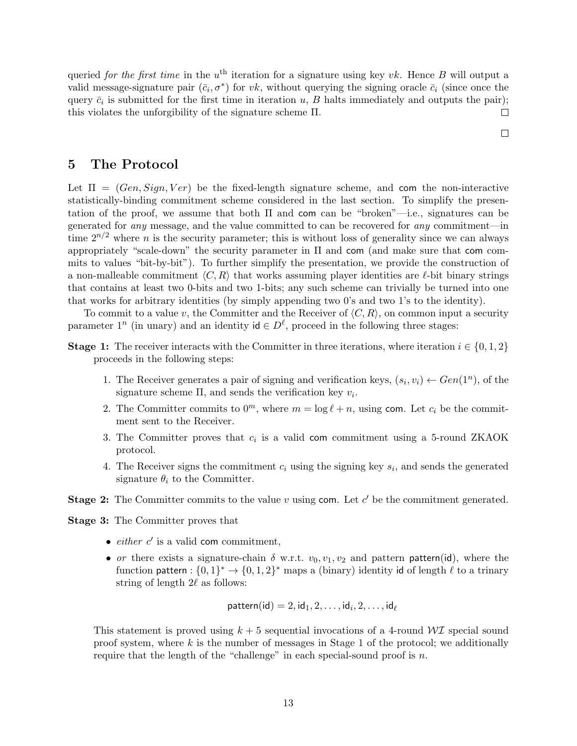queried *for the first time* in the  $u^{\text{th}}$  iteration for a signature using key vk. Hence B will output a valid message-signature pair  $(\bar{c}_i, \sigma^*)$  for vk, without querying the signing oracle  $\bar{c}_i$  (since once the query  $\bar{c}_i$  is submitted for the first time in iteration u, B halts immediately and outputs the pair); this violates the unforgibility of the signature scheme Π.  $\Box$ 

 $\Box$ 

# 5 The Protocol

Let  $\Pi = (Gen, Sign, Ver)$  be the fixed-length signature scheme, and com the non-interactive statistically-binding commitment scheme considered in the last section. To simplify the presentation of the proof, we assume that both  $\Pi$  and com can be "broken"—i.e., signatures can be generated for *any* message, and the value committed to can be recovered for *any* commitment—in time  $2^{n/2}$  where *n* is the security parameter; this is without loss of generality since we can always appropriately "scale-down" the security parameter in  $\Pi$  and com (and make sure that com commits to values "bit-by-bit"). To further simplify the presentation, we provide the construction of a non-malleable commitment  $\langle C, R \rangle$  that works assuming player identities are  $\ell$ -bit binary strings that contains at least two 0-bits and two 1-bits; any such scheme can trivially be turned into one that works for arbitrary identities (by simply appending two 0's and two 1's to the identity).

To commit to a value v, the Committer and the Receiver of  $\langle C, R \rangle$ , on common input a security parameter  $1^n$  (in unary) and an identity  $id \in D^{\ell}$ , proceed in the following three stages:

- **Stage 1:** The receiver interacts with the Committer in three iterations, where iteration  $i \in \{0, 1, 2\}$ proceeds in the following steps:
	- 1. The Receiver generates a pair of signing and verification keys,  $(s_i, v_i) \leftarrow Gen(1^n)$ , of the signature scheme  $\Pi$ , and sends the verification key  $v_i$ .
	- 2. The Committer commits to  $0^m$ , where  $m = \log \ell + n$ , using com. Let  $c_i$  be the commitment sent to the Receiver.
	- 3. The Committer proves that  $c_i$  is a valid com commitment using a 5-round ZKAOK protocol.
	- 4. The Receiver signs the commitment  $c_i$  using the signing key  $s_i$ , and sends the generated signature  $\theta_i$  to the Committer.
- Stage 2: The Committer commits to the value  $v$  using com. Let  $c'$  be the commitment generated.
- Stage 3: The Committer proves that
	- *either*  $c'$  is a valid com commitment,
	- or there exists a signature-chain  $\delta$  w.r.t.  $v_0, v_1, v_2$  and pattern pattern(id), where the function pattern :  $\{0,1\}^* \to \{0,1,2\}^*$  maps a (binary) identity id of length  $\ell$  to a trinary string of length  $2\ell$  as follows:

$$
\mathsf{pattern}(\mathsf{id})=2,\mathsf{id}_1,2,\ldots,\mathsf{id}_i,2,\ldots,\mathsf{id}_\ell
$$

This statement is proved using  $k + 5$  sequential invocations of a 4-round  $\mathcal{W} \mathcal{I}$  special sound proof system, where k is the number of messages in Stage 1 of the protocol; we additionally require that the length of the "challenge" in each special-sound proof is  $n$ .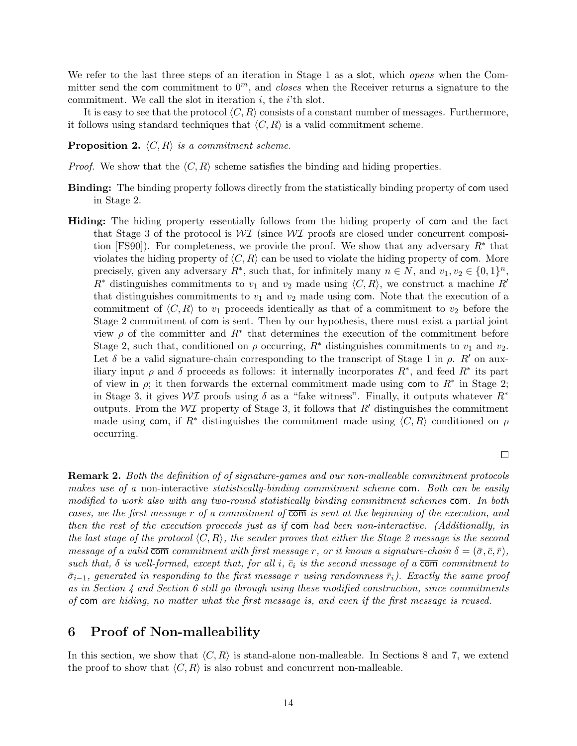We refer to the last three steps of an iteration in Stage 1 as a slot, which *opens* when the Committer send the com commitment to  $0<sup>m</sup>$ , and closes when the Receiver returns a signature to the commitment. We call the slot in iteration  $i$ , the  $i$ <sup>th</sup> slot.

It is easy to see that the protocol  $\langle C, R \rangle$  consists of a constant number of messages. Furthermore, it follows using standard techniques that  $\langle C, R \rangle$  is a valid commitment scheme.

#### **Proposition 2.**  $\langle C, R \rangle$  is a commitment scheme.

*Proof.* We show that the  $\langle C, R \rangle$  scheme satisfies the binding and hiding properties.

- Binding: The binding property follows directly from the statistically binding property of com used in Stage 2.
- Hiding: The hiding property essentially follows from the hiding property of com and the fact that Stage 3 of the protocol is  $\mathcal{W} \mathcal{I}$  (since  $\mathcal{W} \mathcal{I}$  proofs are closed under concurrent composition [FS90]). For completeness, we provide the proof. We show that any adversary  $R^*$  that violates the hiding property of  $\langle C, R \rangle$  can be used to violate the hiding property of com. More precisely, given any adversary  $R^*$ , such that, for infinitely many  $n \in N$ , and  $v_1, v_2 \in \{0, 1\}^n$ ,  $R^*$  distinguishes commitments to  $v_1$  and  $v_2$  made using  $\langle C, R \rangle$ , we construct a machine R<sup>i</sup> that distinguishes commitments to  $v_1$  and  $v_2$  made using com. Note that the execution of a commitment of  $\langle C, R \rangle$  to  $v_1$  proceeds identically as that of a commitment to  $v_2$  before the Stage 2 commitment of com is sent. Then by our hypothesis, there must exist a partial joint view  $\rho$  of the committer and  $R^*$  that determines the execution of the commitment before Stage 2, such that, conditioned on  $\rho$  occurring,  $R^*$  distinguishes commitments to  $v_1$  and  $v_2$ . Let  $\delta$  be a valid signature-chain corresponding to the transcript of Stage 1 in  $\rho$ . R' on auxiliary input  $\rho$  and  $\delta$  proceeds as follows: it internally incorporates  $R^*$ , and feed  $R^*$  its part of view in  $\rho$ ; it then forwards the external commitment made using com to  $R^*$  in Stage 2; in Stage 3, it gives  $\mathcal{W} \mathcal{I}$  proofs using  $\delta$  as a "fake witness". Finally, it outputs whatever  $R^*$ outputs. From the  $\mathcal{W} \mathcal{I}$  property of Stage 3, it follows that  $R'$  distinguishes the commitment made using com, if  $R^*$  distinguishes the commitment made using  $\langle C, R \rangle$  conditioned on  $\rho$ occurring.

 $\Box$ 

Remark 2. Both the definition of of signature-games and our non-malleable commitment protocols makes use of a non-interactive statistically-binding commitment scheme com. Both can be easily modified to work also with any two-round statistically binding commitment schemes  $\overline{\text{com}}$ . In both cases, we the first message r of a commitment of  $\overline{\text{com}}$  is sent at the beginning of the execution, and then the rest of the execution proceeds just as if  $\overline{com}$  had been non-interactive. (Additionally, in the last stage of the protocol  $\langle C, R \rangle$ , the sender proves that either the Stage 2 message is the second message of a valid  $\overline{\text{com}}$  commitment with first message r, or it knows a signature-chain  $\delta = (\bar{\sigma}, \bar{c}, \bar{r})$ , such that,  $\delta$  is well-formed, except that, for all i,  $\bar{c}_i$  is the second message of a com commitment to  $\bar{\sigma}_{i-1}$ , generated in responding to the first message r using randomness  $\bar{r}_i$ ). Exactly the same proof as in Section 4 and Section 6 still go through using these modified construction, since commitments of  $\overline{\text{com}}$  are hiding, no matter what the first message is, and even if the first message is reused.

# 6 Proof of Non-malleability

In this section, we show that  $\langle C, R \rangle$  is stand-alone non-malleable. In Sections 8 and 7, we extend the proof to show that  $\langle C, R \rangle$  is also robust and concurrent non-malleable.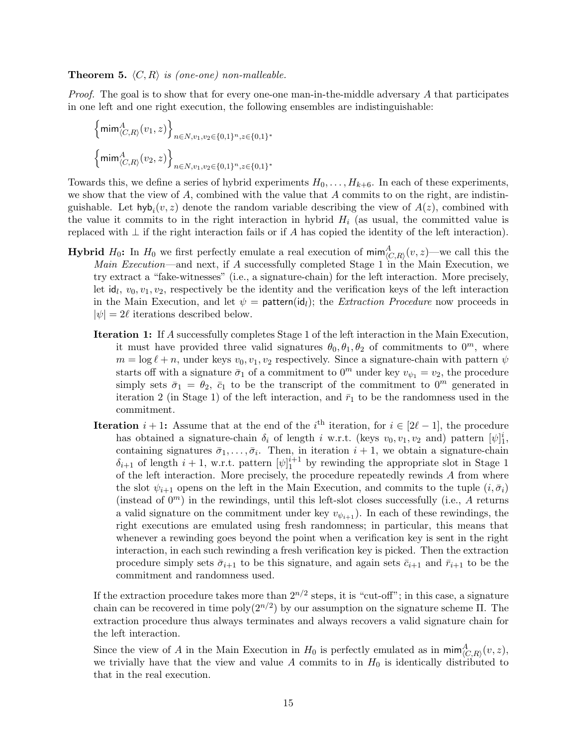#### **Theorem 5.**  $\langle C, R \rangle$  is (one-one) non-malleable.

*Proof.* The goal is to show that for every one-one man-in-the-middle adversary A that participates in one left and one right execution, the following ensembles are indistinguishable:

$$
\begin{aligned} &\left\{ \text{min}^A_{\langle C,R \rangle}(v_1,z) \right\}_{n \in N, v_1, v_2 \in \{0,1\}^n, z \in \{0,1\}^*}\\ &\left\{ \text{min}^A_{\langle C,R \rangle}(v_2,z) \right\}_{n \in N, v_1, v_2 \in \{0,1\}^n, z \in \{0,1\}^*} \end{aligned}
$$

Towards this, we define a series of hybrid experiments  $H_0, \ldots, H_{k+6}$ . In each of these experiments, we show that the view of  $A$ , combined with the value that  $A$  commits to on the right, are indistinguishable. Let  $\mathsf{hyb}_i(v, z)$  denote the random variable describing the view of  $A(z)$ , combined with the value it commits to in the right interaction in hybrid  $H_i$  (as usual, the committed value is replaced with  $\perp$  if the right interaction fails or if A has copied the identity of the left interaction).

- **Hybrid**  $H_0$ : In  $H_0$  we first perfectly emulate a real execution of  $\min_{(C,R)}^A(v,z)$ —we call this the Main Execution—and next, if A successfully completed Stage 1 in the Main Execution, we try extract a "fake-witnesses" (i.e., a signature-chain) for the left interaction. More precisely, let  $\mathsf{id}_l$ ,  $v_0, v_1, v_2$ , respectively be the identity and the verification keys of the left interaction in the Main Execution, and let  $\psi =$  pattern(id<sub>l</sub>); the *Extraction Procedure* now proceeds in  $|\psi| = 2\ell$  iterations described below.
	- Iteration 1: If A successfully completes Stage 1 of the left interaction in the Main Execution, it must have provided three valid signatures  $\theta_0$ ,  $\theta_1$ ,  $\theta_2$  of commitments to  $0^m$ , where  $m = \log \ell + n$ , under keys  $v_0, v_1, v_2$  respectively. Since a signature-chain with pattern  $\psi$ starts off with a signature  $\bar{\sigma}_1$  of a commitment to  $0^m$  under key  $v_{\psi_1} = v_2$ , the procedure simply sets  $\bar{\sigma}_1 = \theta_2$ ,  $\bar{c}_1$  to be the transcript of the commitment to  $0^m$  generated in iteration 2 (in Stage 1) of the left interaction, and  $\bar{r}_1$  to be the randomness used in the commitment.
	- **Iteration**  $i + 1$ : Assume that at the end of the i<sup>th</sup> iteration, for  $i \in [2\ell 1]$ , the procedure has obtained a signature-chain  $\delta_i$  of length i w.r.t. (keys  $v_0, v_1, v_2$  and) pattern  $[\psi]_1^i$ , containing signatures  $\bar{\sigma}_1, \ldots, \bar{\sigma}_i$ . Then, in iteration  $i + 1$ , we obtain a signature-chain  $\delta_{i+1}$  of length  $i+1$ , w.r.t. pattern  $[\psi]_1^{i+1}$  by rewinding the appropriate slot in Stage 1 of the left interaction. More precisely, the procedure repeatedly rewinds A from where the slot  $\psi_{i+1}$  opens on the left in the Main Execution, and commits to the tuple  $(i, \bar{\sigma}_i)$ (instead of  $0^m$ ) in the rewindings, until this left-slot closes successfully (i.e., A returns a valid signature on the commitment under key  $v_{\psi_{i+1}}$ ). In each of these rewindings, the right executions are emulated using fresh randomness; in particular, this means that whenever a rewinding goes beyond the point when a verification key is sent in the right interaction, in each such rewinding a fresh verification key is picked. Then the extraction procedure simply sets  $\bar{\sigma}_{i+1}$  to be this signature, and again sets  $\bar{c}_{i+1}$  and  $\bar{r}_{i+1}$  to be the commitment and randomness used.

If the extraction procedure takes more than  $2^{n/2}$  steps, it is "cut-off"; in this case, a signature chain can be recovered in time  $\text{poly}(2^{n/2})$  by our assumption on the signature scheme  $\Pi$ . The extraction procedure thus always terminates and always recovers a valid signature chain for the left interaction.

Since the view of A in the Main Execution in  $H_0$  is perfectly emulated as in  $\min_{\langle C,R \rangle}(v, z)$ , we trivially have that the view and value A commits to in  $H_0$  is identically distributed to that in the real execution.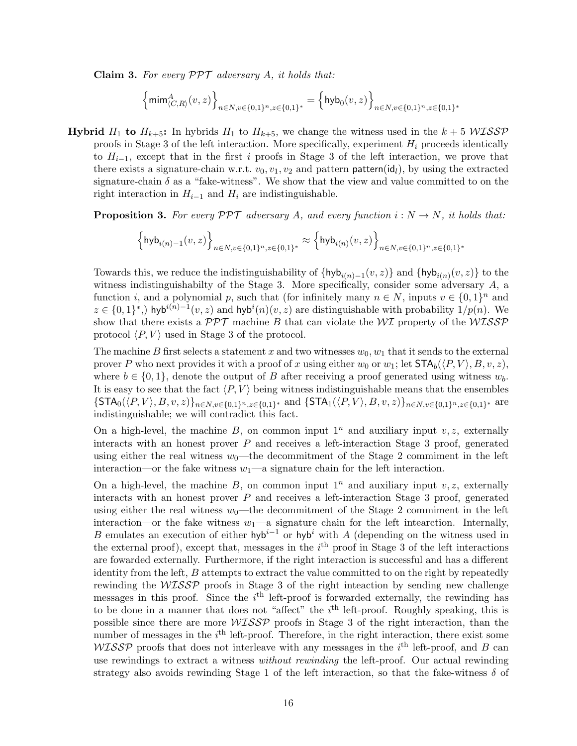**Claim 3.** For every  $\mathcal{PPT}$  adversary A, it holds that:

$$
\left\{\min\nolimits_{\langle C,R\rangle}^A(v,z)\right\}_{n\in N,v\in\{0,1\}^n,z\in\{0,1\}^*}=\left\{\mathsf{hyb}_0(v,z)\right\}_{n\in N,v\in\{0,1\}^n,z\in\{0,1\}^*}
$$

**Hybrid**  $H_1$  to  $H_{k+5}$ : In hybrids  $H_1$  to  $H_{k+5}$ , we change the witness used in the  $k+5$  WISSP proofs in Stage 3 of the left interaction. More specifically, experiment  $H_i$  proceeds identically to  $H_{i-1}$ , except that in the first i proofs in Stage 3 of the left interaction, we prove that there exists a signature-chain w.r.t.  $v_0, v_1, v_2$  and pattern pattern(id<sub>l</sub>), by using the extracted signature-chain  $\delta$  as a "fake-witness". We show that the view and value committed to on the right interaction in  $H_{i-1}$  and  $H_i$  are indistinguishable.

**Proposition 3.** For every PPT adversary A, and every function  $i: N \to N$ , it holds that:

$$
\Big\{{\mathsf{hyb}}_{i(n)-1}(v,z)\Big\}_{n\in N, v\in \{0,1\}^n, z\in \{0,1\}^*}\approx \Big\{{\mathsf{hyb}}_{i(n)}(v,z)\Big\}_{n\in N, v\in \{0,1\}^n, z\in \{0,1\}^*}
$$

Towards this, we reduce the indistinguishability of  $\{\text{hyb}_{i(n)-1}(v,z)\}\$  and  $\{\text{hyb}_{i(n)}(v,z)\}\$  to the witness indistinguishabilty of the Stage 3. More specifically, consider some adversary A, a function *i*, and a polynomial p, such that (for infinitely many  $n \in N$ , inputs  $v \in \{0,1\}^n$  and  $z \in \{0,1\}^*$ , hyb<sup>i $(n) - 1(v, z)$ </sup> and hyb<sup>i</sup> $(n)(v, z)$  are distinguishable with probability  $1/p(n)$ . We show that there exists a  $\mathcal{PPT}$  machine B that can violate the WI property of the WISSP protocol  $\langle P, V \rangle$  used in Stage 3 of the protocol.

The machine B first selects a statement x and two witnesses  $w_0, w_1$  that it sends to the external prover P who next provides it with a proof of x using either  $w_0$  or  $w_1$ ; let  $STA_b(\langle P, V \rangle, B, v, z)$ , where  $b \in \{0, 1\}$ , denote the output of B after receiving a proof generated using witness  $w_b$ . It is easy to see that the fact  $\langle P, V \rangle$  being witness indistinguishable means that the ensembles  ${\sf \{STA}_0(\langle P, V \rangle, B, v, z)\}_{n \in N, v \in \{0,1\}^n, z \in \{0,1\}^*}$  and  ${\sf \{STA}_1(\langle P, V \rangle, B, v, z)\}_{n \in N, v \in \{0,1\}^n, z \in \{0,1\}^*}$  are indistinguishable; we will contradict this fact.

On a high-level, the machine B, on common input  $1^n$  and auxiliary input  $v, z$ , externally interacts with an honest prover  $P$  and receives a left-interaction Stage 3 proof, generated using either the real witness  $w_0$ —the decommitment of the Stage 2 commiment in the left interaction—or the fake witness  $w_1$ —a signature chain for the left interaction.

On a high-level, the machine B, on common input  $1^n$  and auxiliary input v, z, externally interacts with an honest prover P and receives a left-interaction Stage 3 proof, generated using either the real witness  $w_0$ —the decommitment of the Stage 2 commiment in the left interaction—or the fake witness  $w_1$ —a signature chain for the left intearction. Internally, B emulates an execution of either hyb<sup>i−1</sup> or hyb<sup>i</sup> with A (depending on the witness used in the external proof), except that, messages in the  $i<sup>th</sup>$  proof in Stage 3 of the left interactions are fowarded externally. Furthermore, if the right interaction is successful and has a different identity from the left, B attempts to extract the value committed to on the right by repeatedly rewinding the WISSP proofs in Stage 3 of the right inteaction by sending new challenge messages in this proof. Since the  $i<sup>th</sup>$  left-proof is forwarded externally, the rewinding has to be done in a manner that does not "affect" the  $i<sup>th</sup>$  left-proof. Roughly speaking, this is possible since there are more  $WISSP$  proofs in Stage 3 of the right interaction, than the number of messages in the  $i<sup>th</sup>$  left-proof. Therefore, in the right interaction, there exist some WISSP proofs that does not interleave with any messages in the  $i<sup>th</sup>$  left-proof, and B can use rewindings to extract a witness without rewinding the left-proof. Our actual rewinding strategy also avoids rewinding Stage 1 of the left interaction, so that the fake-witness  $\delta$  of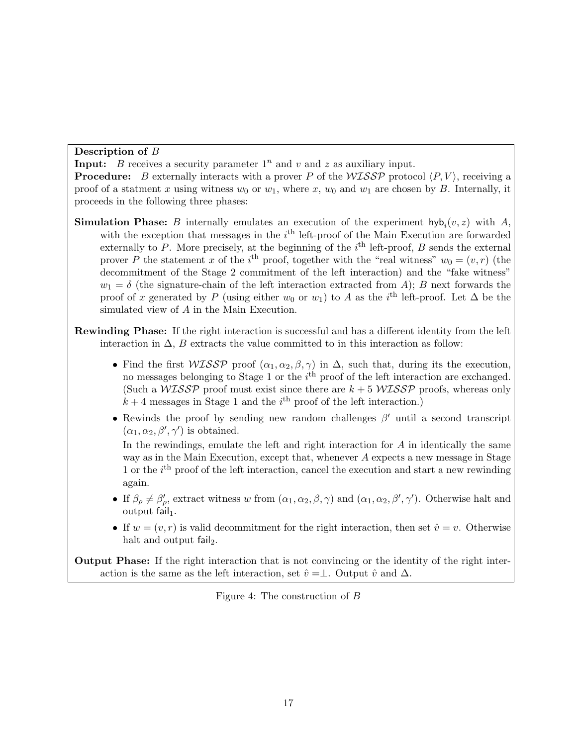### Description of B

**Input:** B receives a security parameter  $1^n$  and v and z as auxiliary input.

**Procedure:** B externally interacts with a prover P of the WISSP protocol  $\langle P, V \rangle$ , receiving a proof of a statment x using witness  $w_0$  or  $w_1$ , where x,  $w_0$  and  $w_1$  are chosen by B. Internally, it proceeds in the following three phases:

- **Simulation Phase:** B internally emulates an execution of the experiment  $hyb_i(v, z)$  with A, with the exception that messages in the  $i<sup>th</sup>$  left-proof of the Main Execution are forwarded externally to P. More precisely, at the beginning of the  $i<sup>th</sup>$  left-proof, B sends the external prover P the statement x of the i<sup>th</sup> proof, together with the "real witness"  $w_0 = (v, r)$  (the decommitment of the Stage 2 commitment of the left interaction) and the "fake witness"  $w_1 = \delta$  (the signature-chain of the left interaction extracted from A); B next forwards the proof of x generated by P (using either  $w_0$  or  $w_1$ ) to A as the i<sup>th</sup> left-proof. Let  $\Delta$  be the simulated view of A in the Main Execution.
- Rewinding Phase: If the right interaction is successful and has a different identity from the left interaction in  $\Delta$ , B extracts the value committed to in this interaction as follow:
	- Find the first WISSP proof  $(\alpha_1, \alpha_2, \beta, \gamma)$  in  $\Delta$ , such that, during its the execution, no messages belonging to Stage 1 or the  $i<sup>th</sup>$  proof of the left interaction are exchanged. (Such a  $WISSP$  proof must exist since there are  $k + 5 WISSP$  proofs, whereas only  $k + 4$  messages in Stage 1 and the i<sup>th</sup> proof of the left interaction.)
	- Rewinds the proof by sending new random challenges  $\beta'$  until a second transcript  $(\alpha_1, \alpha_2, \beta', \gamma')$  is obtained.

In the rewindings, emulate the left and right interaction for  $A$  in identically the same way as in the Main Execution, except that, whenever A expects a new message in Stage 1 or the  $i<sup>th</sup>$  proof of the left interaction, cancel the execution and start a new rewinding again.

- If  $\beta_{\rho} \neq \beta'_{\rho}$ , extract witness w from  $(\alpha_1, \alpha_2, \beta, \gamma)$  and  $(\alpha_1, \alpha_2, \beta', \gamma')$ . Otherwise halt and output  $fail_1$ .
- If  $w = (v, r)$  is valid decommitment for the right interaction, then set  $\hat{v} = v$ . Otherwise halt and output  $\text{fail}_2$ .

Output Phase: If the right interaction that is not convincing or the identity of the right interaction is the same as the left interaction, set  $\hat{v} = \perp$ . Output  $\hat{v}$  and  $\Delta$ .

Figure 4: The construction of B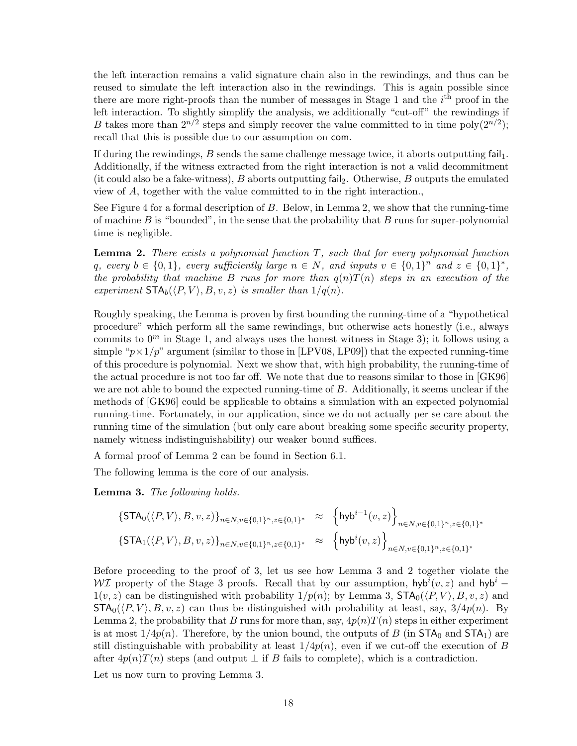the left interaction remains a valid signature chain also in the rewindings, and thus can be reused to simulate the left interaction also in the rewindings. This is again possible since there are more right-proofs than the number of messages in Stage 1 and the  $i<sup>th</sup>$  proof in the left interaction. To slightly simplify the analysis, we additionally "cut-off" the rewindings if B takes more than  $2^{n/2}$  steps and simply recover the value committed to in time poly $(2^{n/2})$ ; recall that this is possible due to our assumption on com.

If during the rewindings,  $B$  sends the same challenge message twice, it aborts outputting fail. Additionally, if the witness extracted from the right interaction is not a valid decommitment (it could also be a fake-witness),  $B$  aborts outputting fail<sub>2</sub>. Otherwise,  $B$  outputs the emulated view of A, together with the value committed to in the right interaction.,

See Figure 4 for a formal description of  $B$ . Below, in Lemma 2, we show that the running-time of machine B is "bounded", in the sense that the probability that B runs for super-polynomial time is negligible.

**Lemma 2.** There exists a polynomial function  $T$ , such that for every polynomial function q, every  $b \in \{0,1\}$ , every sufficiently large  $n \in N$ , and inputs  $v \in \{0,1\}^n$  and  $z \in \{0,1\}^*$ , the probability that machine B runs for more than  $q(n)T(n)$  steps in an execution of the experiment  $\text{STA}_b(\langle P, V \rangle, B, v, z)$  is smaller than  $1/q(n)$ .

Roughly speaking, the Lemma is proven by first bounding the running-time of a "hypothetical procedure" which perform all the same rewindings, but otherwise acts honestly (i.e., always commits to  $0^m$  in Stage 1, and always uses the honest witness in Stage 3); it follows using a simple " $p \times 1/p$ " argument (similar to those in [LPV08, LP09]) that the expected running-time of this procedure is polynomial. Next we show that, with high probability, the running-time of the actual procedure is not too far off. We note that due to reasons similar to those in [GK96] we are not able to bound the expected running-time of  $B$ . Additionally, it seems unclear if the methods of [GK96] could be applicable to obtains a simulation with an expected polynomial running-time. Fortunately, in our application, since we do not actually per se care about the running time of the simulation (but only care about breaking some specific security property, namely witness indistinguishability) our weaker bound suffices.

A formal proof of Lemma 2 can be found in Section 6.1.

The following lemma is the core of our analysis.

Lemma 3. The following holds.

$$
\begin{aligned}\n\{\text{STA}_0(\langle P, V \rangle, B, v, z)\}_{n \in N, v \in \{0, 1\}^n, z \in \{0, 1\}^*} &\approx \left\{\text{hyb}^{i-1}(v, z)\right\}_{n \in N, v \in \{0, 1\}^n, z \in \{0, 1\}^*} \\
\{\text{STA}_1(\langle P, V \rangle, B, v, z)\}_{n \in N, v \in \{0, 1\}^n, z \in \{0, 1\}^*} &\approx \left\{\text{hyb}^i(v, z)\right\}_{n \in N, v \in \{0, 1\}^n, z \in \{0, 1\}^*} \\
\end{aligned}
$$

Before proceeding to the proof of 3, let us see how Lemma 3 and 2 together violate the WI property of the Stage 3 proofs. Recall that by our assumption,  $hyb^i(v, z)$  and  $hyb^i$  –  $1(v, z)$  can be distinguished with probability  $1/p(n)$ ; by Lemma 3,  $\text{STA}_0(\langle P, V \rangle, B, v, z)$  and  $STA_0(\langle P, V \rangle, B, v, z)$  can thus be distinguished with probability at least, say,  $3/4p(n)$ . By Lemma 2, the probability that B runs for more than, say,  $4p(n)T(n)$  steps in either experiment is at most  $1/4p(n)$ . Therefore, by the union bound, the outputs of B (in  $STA_0$  and  $STA_1$ ) are still distinguishable with probability at least  $1/4p(n)$ , even if we cut-off the execution of B after  $4p(n)T(n)$  steps (and output  $\perp$  if B fails to complete), which is a contradiction.

Let us now turn to proving Lemma 3.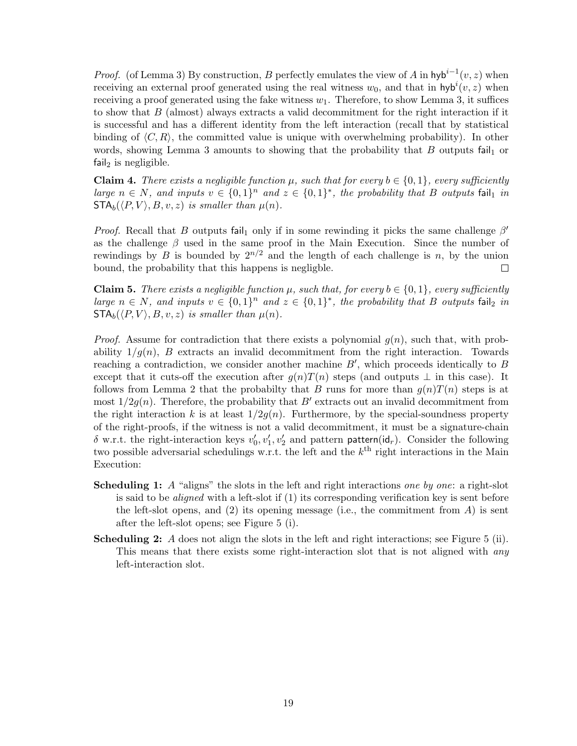*Proof.* (of Lemma 3) By construction, B perfectly emulates the view of A in  $hyb^{i-1}(v, z)$  when receiving an external proof generated using the real witness  $w_0$ , and that in hyb<sup>i</sup> $(v, z)$  when receiving a proof generated using the fake witness  $w_1$ . Therefore, to show Lemma 3, it suffices to show that B (almost) always extracts a valid decommitment for the right interaction if it is successful and has a different identity from the left interaction (recall that by statistical binding of  $\langle C, R \rangle$ , the committed value is unique with overwhelming probability). In other words, showing Lemma 3 amounts to showing that the probability that  $B$  outputs fail, or  $fail<sub>2</sub>$  is negligible.

**Claim 4.** There exists a negligible function  $\mu$ , such that for every  $b \in \{0,1\}$ , every sufficiently large  $n \in N$ , and inputs  $v \in \{0,1\}^n$  and  $z \in \{0,1\}^*$ , the probability that B outputs fail<sub>1</sub> in  $\mathsf{STA}_b(\langle P, V \rangle, B, v, z)$  is smaller than  $\mu(n)$ .

*Proof.* Recall that B outputs fail<sub>1</sub> only if in some rewinding it picks the same challenge  $\beta'$ as the challenge  $\beta$  used in the same proof in the Main Execution. Since the number of rewindings by B is bounded by  $2^{n/2}$  and the length of each challenge is n, by the union bound, the probability that this happens is negligble.  $\Box$ 

**Claim 5.** There exists a negligible function  $\mu$ , such that, for every  $b \in \{0,1\}$ , every sufficiently large  $n \in N$ , and inputs  $v \in \{0,1\}^n$  and  $z \in \{0,1\}^*$ , the probability that B outputs fail<sub>2</sub> in  $STA_b(\langle P, V \rangle, B, v, z)$  is smaller than  $\mu(n)$ .

*Proof.* Assume for contradiction that there exists a polynomial  $g(n)$ , such that, with probability  $1/q(n)$ , B extracts an invalid decommitment from the right interaction. Towards reaching a contradiction, we consider another machine  $B'$ , which proceeds identically to  $B$ except that it cuts-off the execution after  $g(n)T(n)$  steps (and outputs  $\perp$  in this case). It follows from Lemma 2 that the probabilty that B runs for more than  $q(n)T(n)$  steps is at most  $1/2g(n)$ . Therefore, the probability that B' extracts out an invalid decommitment from the right interaction k is at least  $1/2q(n)$ . Furthermore, by the special-soundness property of the right-proofs, if the witness is not a valid decommitment, it must be a signature-chain δ w.r.t. the right-interaction keys  $v'_0, v'_1, v'_2$  and pattern pattern(id<sub>r</sub>). Consider the following two possible adversarial schedulings w.r.t. the left and the  $k^{\text{th}}$  right interactions in the Main Execution:

- Scheduling 1: A "aligns" the slots in the left and right interactions one by one: a right-slot is said to be *aligned* with a left-slot if  $(1)$  its corresponding verification key is sent before the left-slot opens, and  $(2)$  its opening message (i.e., the commitment from A) is sent after the left-slot opens; see Figure 5 (i).
- Scheduling 2: A does not align the slots in the left and right interactions; see Figure 5 (ii). This means that there exists some right-interaction slot that is not aligned with *any* left-interaction slot.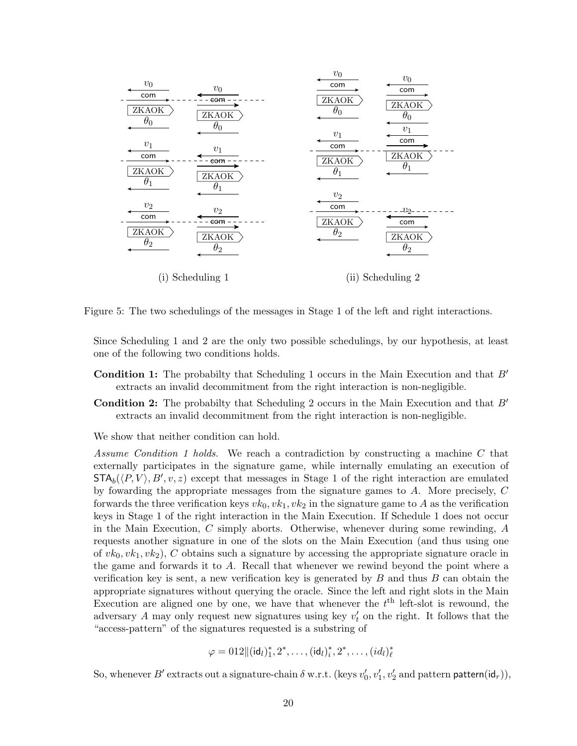

Figure 5: The two schedulings of the messages in Stage 1 of the left and right interactions.

Since Scheduling 1 and 2 are the only two possible schedulings, by our hypothesis, at least one of the following two conditions holds.

- **Condition 1:** The probabilty that Scheduling 1 occurs in the Main Execution and that  $B'$ extracts an invalid decommitment from the right interaction is non-negligible.
- **Condition 2:** The probabilty that Scheduling 2 occurs in the Main Execution and that  $B'$ extracts an invalid decommitment from the right interaction is non-negligible.

We show that neither condition can hold.

Assume Condition 1 holds. We reach a contradiction by constructing a machine C that externally participates in the signature game, while internally emulating an execution of  $\text{STA}_b(\langle P, V \rangle, B', v, z)$  except that messages in Stage 1 of the right interaction are emulated by fowarding the appropriate messages from the signature games to A. More precisely, C forwards the three verification keys  $vk_0, vk_1, vk_2$  in the signature game to A as the verification keys in Stage 1 of the right interaction in the Main Execution. If Schedule 1 does not occur in the Main Execution, C simply aborts. Otherwise, whenever during some rewinding, A requests another signature in one of the slots on the Main Execution (and thus using one of  $vk_0, vk_1, vk_2$ , C obtains such a signature by accessing the appropriate signature oracle in the game and forwards it to A. Recall that whenever we rewind beyond the point where a verification key is sent, a new verification key is generated by  $B$  and thus  $B$  can obtain the appropriate signatures without querying the oracle. Since the left and right slots in the Main Execution are aligned one by one, we have that whenever the  $t<sup>th</sup>$  left-slot is rewound, the adversary A may only request new signatures using key  $v_t'$  on the right. It follows that the "access-pattern" of the signatures requested is a substring of

$$
\varphi = 012 \|(id_l)_1^*, 2^*, \dots, (id_l)_i^*, 2^*, \dots, (id_l)_\ell^*
$$

So, whenever  $B'$  extracts out a signature-chain  $\delta$  w.r.t. (keys  $v'_0, v'_1, v'_2$  and pattern pattern(id<sub>r</sub>)),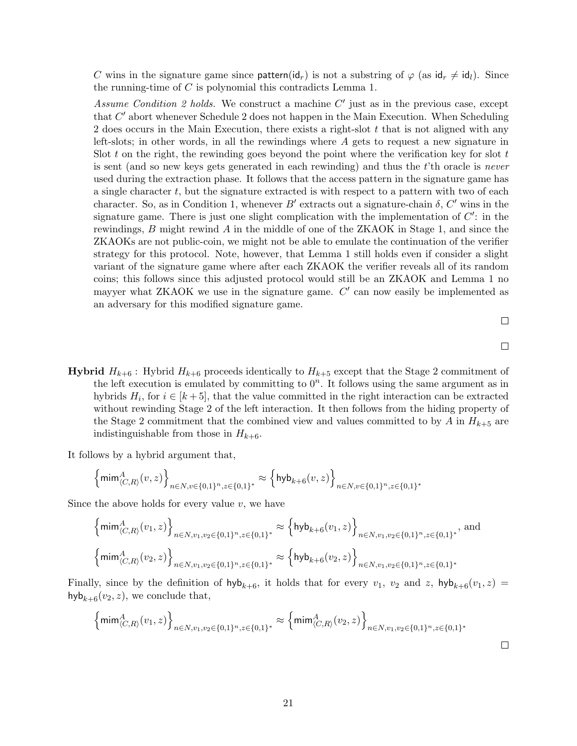C wins in the signature game since pattern(id<sub>r</sub>) is not a substring of  $\varphi$  (as  $\mathsf{id}_r \neq \mathsf{id}_l$ ). Since the running-time of  $C$  is polynomial this contradicts Lemma 1.

Assume Condition 2 holds. We construct a machine  $C'$  just as in the previous case, except that  $C'$  abort whenever Schedule 2 does not happen in the Main Execution. When Scheduling 2 does occurs in the Main Execution, there exists a right-slot  $t$  that is not aligned with any left-slots; in other words, in all the rewindings where A gets to request a new signature in Slot t on the right, the rewinding goes beyond the point where the verification key for slot  $t$ is sent (and so new keys gets generated in each rewinding) and thus the  $t$ 'th oracle is never used during the extraction phase. It follows that the access pattern in the signature game has a single character  $t$ , but the signature extracted is with respect to a pattern with two of each character. So, as in Condition 1, whenever  $B'$  extracts out a signature-chain  $\delta$ , C' wins in the signature game. There is just one slight complication with the implementation of  $C'$ : in the rewindings,  $B$  might rewind  $\overline{A}$  in the middle of one of the ZKAOK in Stage 1, and since the ZKAOKs are not public-coin, we might not be able to emulate the continuation of the verifier strategy for this protocol. Note, however, that Lemma 1 still holds even if consider a slight variant of the signature game where after each ZKAOK the verifier reveals all of its random coins; this follows since this adjusted protocol would still be an ZKAOK and Lemma 1 no mayyer what  $ZKAOK$  we use in the signature game.  $C'$  can now easily be implemented as an adversary for this modified signature game.

 $\Box$ 

 $\Box$ 

**Hybrid**  $H_{k+6}$ : Hybrid  $H_{k+6}$  proceeds identically to  $H_{k+5}$  except that the Stage 2 commitment of the left execution is emulated by committing to  $0<sup>n</sup>$ . It follows using the same argument as in hybrids  $H_i$ , for  $i \in [k+5]$ , that the value committed in the right interaction can be extracted without rewinding Stage 2 of the left interaction. It then follows from the hiding property of the Stage 2 commitment that the combined view and values committed to by A in  $H_{k+5}$  are indistinguishable from those in  $H_{k+6}$ .

It follows by a hybrid argument that,

$$
\left\{\min_{(C,R)}^A(v,z)\right\}_{n\in N,v\in\{0,1\}^n,z\in\{0,1\}^*}\approx \left\{\mathsf{hyb}_{k+6}(v,z)\right\}_{n\in N,v\in\{0,1\}^n,z\in\{0,1\}^*}
$$

Since the above holds for every value  $v$ , we have

$$
\left\{\min_{\langle C,R\rangle}^A(v_1,z)\right\}_{n\in N,v_1,v_2\in\{0,1\}^n,z\in\{0,1\}^*}\approx\left\{\mathsf{hyb}_{k+6}(v_1,z)\right\}_{n\in N,v_1,v_2\in\{0,1\}^n,z\in\{0,1\}^*},\text{ and}
$$
\n
$$
\left\{\min_{\langle C,R\rangle}^A(v_2,z)\right\}_{n\in N,v_1,v_2\in\{0,1\}^n,z\in\{0,1\}^*}\approx\left\{\mathsf{hyb}_{k+6}(v_2,z)\right\}_{n\in N,v_1,v_2\in\{0,1\}^n,z\in\{0,1\}^*}
$$

Finally, since by the definition of  $hyb_{k+6}$ , it holds that for every  $v_1$ ,  $v_2$  and z,  $hyb_{k+6}(v_1, z)$  =  $hyb_{k+6}(v_2, z)$ , we conclude that,

$$
\left\{\min\nolimits_{\langle C,R\rangle}^A(v_1,z)\right\}_{n\in N,v_1,v_2\in\{0,1\}^n,z\in\{0,1\}^*}\approx\left\{\min\nolimits_{\langle C,R\rangle}^A(v_2,z)\right\}_{n\in N,v_1,v_2\in\{0,1\}^n,z\in\{0,1\}^*}
$$

 $\Box$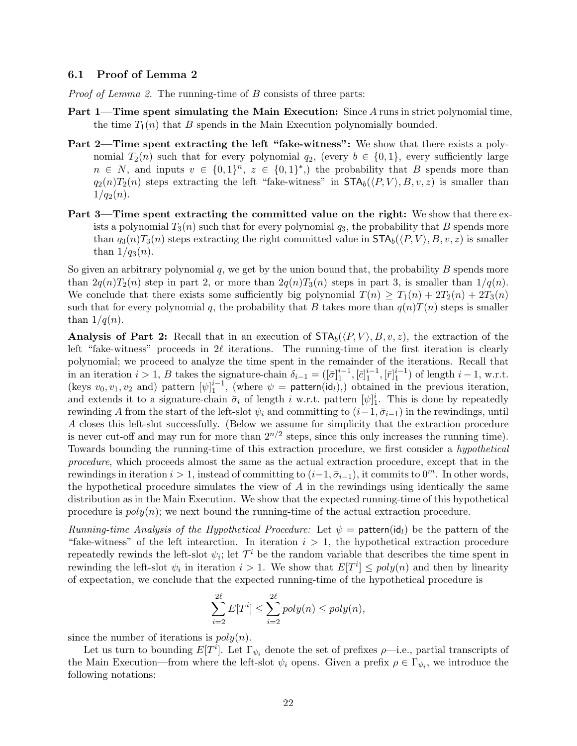### 6.1 Proof of Lemma 2

Proof of Lemma 2. The running-time of B consists of three parts:

- Part 1—Time spent simulating the Main Execution: Since A runs in strict polynomial time, the time  $T_1(n)$  that B spends in the Main Execution polynomially bounded.
- Part 2—Time spent extracting the left "fake-witness": We show that there exists a polynomial  $T_2(n)$  such that for every polynomial  $q_2$ , (every  $b \in \{0,1\}$ , every sufficiently large  $n \in N$ , and inputs  $v \in \{0,1\}^n$ ,  $z \in \{0,1\}^*$ , the probability that B spends more than  $q_2(n)T_2(n)$  steps extracting the left "fake-witness" in  $STA_b(\langle P, V \rangle, B, v, z)$  is smaller than  $1/q_2(n)$ .
- Part 3—Time spent extracting the committed value on the right: We show that there exists a polynomial  $T_3(n)$  such that for every polynomial  $q_3$ , the probability that B spends more than  $q_3(n)T_3(n)$  steps extracting the right committed value in  $\text{STA}_b(\langle P, V \rangle, B, v, z)$  is smaller than  $1/q_3(n)$ .

So given an arbitrary polynomial q, we get by the union bound that, the probability  $B$  spends more than  $2q(n)T_2(n)$  step in part 2, or more than  $2q(n)T_3(n)$  steps in part 3, is smaller than  $1/q(n)$ . We conclude that there exists some sufficiently big polynomial  $T(n) \geq T_1(n) + 2T_2(n) + 2T_3(n)$ such that for every polynomial q, the probability that B takes more than  $q(n)T(n)$  steps is smaller than  $1/q(n)$ .

Analysis of Part 2: Recall that in an execution of  $STA_b(\langle P, V \rangle, B, v, z)$ , the extraction of the left "fake-witness" proceeds in  $2\ell$  iterations. The running-time of the first iteration is clearly polynomial; we proceed to analyze the time spent in the remainder of the iterations. Recall that in an iteration  $i > 1$ , B takes the signature-chain  $\delta_{i-1} = ([\bar{\sigma}]_1^{i-1}, [\bar{c}]_1^{i-1}, [\bar{r}]_1^{i-1})$  of length  $i-1$ , w.r.t. (keys  $v_0, v_1, v_2$  and) pattern  $[\psi]_1^{i-1}$ , (where  $\psi = \text{pattern}(\mathsf{id}_l)$ ,) obtained in the previous iteration, and extends it to a signature-chain  $\bar{\sigma}_i$  of length i w.r.t. pattern  $[\psi]_1^i$ . This is done by repeatedly rewinding A from the start of the left-slot  $\psi_i$  and committing to  $(i-1, \bar{\sigma}_{i-1})$  in the rewindings, until A closes this left-slot successfully. (Below we assume for simplicity that the extraction procedure is never cut-off and may run for more than  $2^{n/2}$  steps, since this only increases the running time). Towards bounding the running-time of this extraction procedure, we first consider a hypothetical procedure, which proceeds almost the same as the actual extraction procedure, except that in the rewindings in iteration  $i > 1$ , instead of committing to  $(i-1, \bar{\sigma}_{i-1})$ , it commits to  $0^m$ . In other words, the hypothetical procedure simulates the view of  $A$  in the rewindings using identically the same distribution as in the Main Execution. We show that the expected running-time of this hypothetical procedure is  $poly(n)$ ; we next bound the running-time of the actual extraction procedure.

Running-time Analysis of the Hypothetical Procedure: Let  $\psi =$  pattern(id<sub>l</sub>) be the pattern of the "fake-witness" of the left intearction. In iteration  $i > 1$ , the hypothetical extraction procedure repeatedly rewinds the left-slot  $\psi_i$ ; let  $\mathcal{T}^i$  be the random variable that describes the time spent in rewinding the left-slot  $\psi_i$  in iteration  $i > 1$ . We show that  $E[T^i] \leq poly(n)$  and then by linearity of expectation, we conclude that the expected running-time of the hypothetical procedure is

$$
\sum_{i=2}^{2\ell} E[T^i] \le \sum_{i=2}^{2\ell} poly(n) \le poly(n),
$$

since the number of iterations is  $poly(n)$ .

Let us turn to bounding  $E[T^i]$ . Let  $\Gamma_{\psi_i}$  denote the set of prefixes  $\rho$ —i.e., partial transcripts of the Main Execution—from where the left-slot  $\psi_i$  opens. Given a prefix  $\rho \in \Gamma_{\psi_i}$ , we introduce the following notations: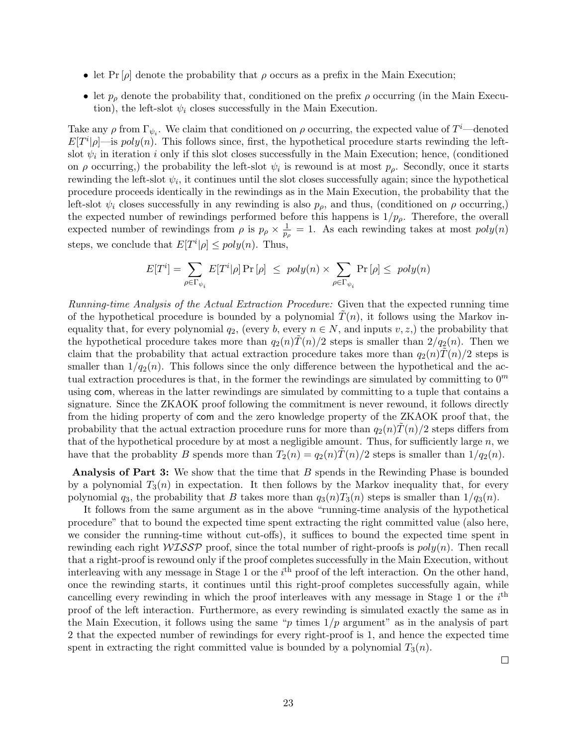- let  $Pr[\rho]$  denote the probability that  $\rho$  occurs as a prefix in the Main Execution;
- let  $p_\rho$  denote the probability that, conditioned on the prefix  $\rho$  occurring (in the Main Execution), the left-slot  $\psi_i$  closes successfully in the Main Execution.

Take any  $\rho$  from  $\Gamma_{\psi_i}$ . We claim that conditioned on  $\rho$  occurring, the expected value of  $T^i$ —denoted  $E[T^i|\rho]$ —is poly(n). This follows since, first, the hypothetical procedure starts rewinding the leftslot  $\psi_i$  in iteration *i* only if this slot closes successfully in the Main Execution; hence, (conditioned on  $\rho$  occurring,) the probability the left-slot  $\psi_i$  is rewound is at most  $p_\rho$ . Secondly, once it starts rewinding the left-slot  $\psi_i$ , it continues until the slot closes successfully again; since the hypothetical procedure proceeds identically in the rewindings as in the Main Execution, the probability that the left-slot  $\psi_i$  closes successfully in any rewinding is also  $p_\rho$ , and thus, (conditioned on  $\rho$  occurring,) the expected number of rewindings performed before this happens is  $1/p<sub>\rho</sub>$ . Therefore, the overall expected number of rewindings from  $\rho$  is  $p_\rho \times \frac{1}{p_\rho}$  $\frac{1}{p_p} = 1$ . As each rewinding takes at most  $poly(n)$ steps, we conclude that  $E[T^i|\rho] \leq poly(n)$ . Thus,

$$
E[T^i] = \sum_{\rho \in \Gamma_{\psi_i}} E[T^i | \rho] \Pr[\rho] \leq poly(n) \times \sum_{\rho \in \Gamma_{\psi_i}} \Pr[\rho] \leq poly(n)
$$

Running-time Analysis of the Actual Extraction Procedure: Given that the expected running time of the hypothetical procedure is bounded by a polynomial  $T(n)$ , it follows using the Markov inequality that, for every polynomial  $q_2$ , (every b, every  $n \in N$ , and inputs  $v, z$ ) the probability that the hypothetical procedure takes more than  $q_2(n)T(n)/2$  steps is smaller than  $2/q_2(n)$ . Then we claim that the probability that actual extraction procedure takes more than  $q_2(n)T(n)/2$  steps is smaller than  $1/q_2(n)$ . This follows since the only difference between the hypothetical and the actual extraction procedures is that, in the former the rewindings are simulated by committing to  $0^m$ using com, whereas in the latter rewindings are simulated by committing to a tuple that contains a signature. Since the ZKAOK proof following the commitment is never rewound, it follows directly from the hiding property of com and the zero knowledge property of the ZKAOK proof that, the probability that the actual extraction procedure runs for more than  $q_2(n)T(n)/2$  steps differs from that of the hypothetical procedure by at most a negligible amount. Thus, for sufficiently large  $n$ , we have that the probablity B spends more than  $T_2(n) = q_2(n)T(n)/2$  steps is smaller than  $1/q_2(n)$ .

Analysis of Part 3: We show that the time that B spends in the Rewinding Phase is bounded by a polynomial  $T_3(n)$  in expectation. It then follows by the Markov inequality that, for every polynomial  $q_3$ , the probability that B takes more than  $q_3(n)T_3(n)$  steps is smaller than  $1/q_3(n)$ .

It follows from the same argument as in the above "running-time analysis of the hypothetical procedure" that to bound the expected time spent extracting the right committed value (also here, we consider the running-time without cut-offs), it suffices to bound the expected time spent in rewinding each right  $WISSP$  proof, since the total number of right-proofs is  $poly(n)$ . Then recall that a right-proof is rewound only if the proof completes successfully in the Main Execution, without interleaving with any message in Stage 1 or the  $i<sup>th</sup>$  proof of the left interaction. On the other hand, once the rewinding starts, it continues until this right-proof completes successfully again, while cancelling every rewinding in which the proof interleaves with any message in Stage 1 or the  $i^{\text{th}}$ proof of the left interaction. Furthermore, as every rewinding is simulated exactly the same as in the Main Execution, it follows using the same "p times  $1/p$  argument" as in the analysis of part 2 that the expected number of rewindings for every right-proof is 1, and hence the expected time spent in extracting the right committed value is bounded by a polynomial  $T_3(n)$ .

 $\Box$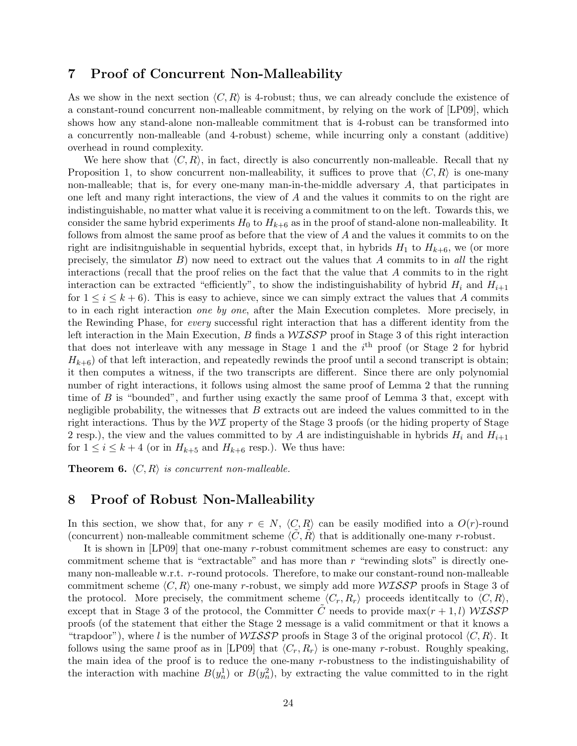# 7 Proof of Concurrent Non-Malleability

As we show in the next section  $\langle C, R \rangle$  is 4-robust; thus, we can already conclude the existence of a constant-round concurrent non-malleable commitment, by relying on the work of [LP09], which shows how any stand-alone non-malleable commitment that is 4-robust can be transformed into a concurrently non-malleable (and 4-robust) scheme, while incurring only a constant (additive) overhead in round complexity.

We here show that  $\langle C, R \rangle$ , in fact, directly is also concurrently non-malleable. Recall that ny Proposition 1, to show concurrent non-malleability, it suffices to prove that  $\langle C, R \rangle$  is one-many non-malleable; that is, for every one-many man-in-the-middle adversary A, that participates in one left and many right interactions, the view of A and the values it commits to on the right are indistinguishable, no matter what value it is receiving a commitment to on the left. Towards this, we consider the same hybrid experiments  $H_0$  to  $H_{k+6}$  as in the proof of stand-alone non-malleability. It follows from almost the same proof as before that the view of A and the values it commits to on the right are indisitnguishable in sequential hybrids, except that, in hybrids  $H_1$  to  $H_{k+6}$ , we (or more precisely, the simulator  $B$ ) now need to extract out the values that  $A$  commits to in all the right interactions (recall that the proof relies on the fact that the value that A commits to in the right interaction can be extracted "efficiently", to show the indistinguishability of hybrid  $H_i$  and  $H_{i+1}$ for  $1 \leq i \leq k+6$ ). This is easy to achieve, since we can simply extract the values that A commits to in each right interaction one by one, after the Main Execution completes. More precisely, in the Rewinding Phase, for every successful right interaction that has a different identity from the left interaction in the Main Execution, B finds a  $WISSP$  proof in Stage 3 of this right interaction that does not interleave with any message in Stage 1 and the  $i<sup>th</sup>$  proof (or Stage 2 for hybrid  $H_{k+6}$ ) of that left interaction, and repeatedly rewinds the proof until a second transcript is obtain; it then computes a witness, if the two transcripts are different. Since there are only polynomial number of right interactions, it follows using almost the same proof of Lemma 2 that the running time of  $B$  is "bounded", and further using exactly the same proof of Lemma 3 that, except with negligible probability, the witnesses that  $B$  extracts out are indeed the values committed to in the right interactions. Thus by the  $\mathcal{W} \mathcal{I}$  property of the Stage 3 proofs (or the hiding property of Stage 2 resp.), the view and the values committed to by A are indistinguishable in hybrids  $H_i$  and  $H_{i+1}$ for  $1 \leq i \leq k+4$  (or in  $H_{k+5}$  and  $H_{k+6}$  resp.). We thus have:

**Theorem 6.**  $\langle C, R \rangle$  is concurrent non-malleable.

# 8 Proof of Robust Non-Malleability

In this section, we show that, for any  $r \in N$ ,  $\langle C, R \rangle$  can be easily modified into a  $O(r)$ -round (concurrent) non-malleable commitment scheme  $\langle C, R \rangle$  that is additionally one-many r-robust.

It is shown in [LP09] that one-many r-robust commitment schemes are easy to construct: any commitment scheme that is "extractable" and has more than  $r$  "rewinding slots" is directly onemany non-malleable w.r.t. r-round protocols. Therefore, to make our constant-round non-malleable commitment scheme  $\langle C, R \rangle$  one-many r-robust, we simply add more WISSP proofs in Stage 3 of the protocol. More precisely, the commitment scheme  $\langle C_r, R_r \rangle$  proceeds identitcally to  $\langle C, R \rangle$ , except that in Stage 3 of the protocol, the Committer  $\tilde{C}$  needs to provide max $(r+1, l) WISSP$ proofs (of the statement that either the Stage 2 message is a valid commitment or that it knows a "trapdoor"), where l is the number of  $WISSP$  proofs in Stage 3 of the original protocol  $\langle C, R \rangle$ . It follows using the same proof as in [LP09] that  $\langle C_r, R_r \rangle$  is one-many r-robust. Roughly speaking, the main idea of the proof is to reduce the one-many r-robustness to the indistinguishability of the interaction with machine  $B(y_n^1)$  or  $B(y_n^2)$ , by extracting the value committed to in the right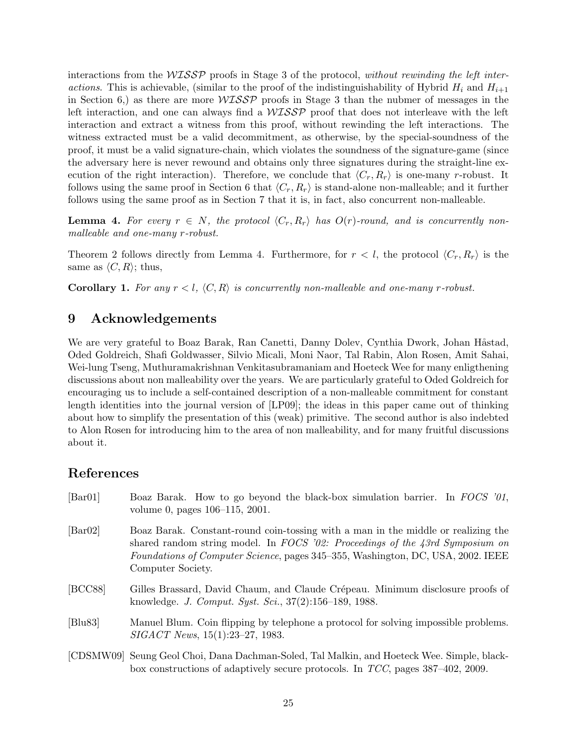interactions from the WISSP proofs in Stage 3 of the protocol, without rewinding the left interactions. This is achievable, (similar to the proof of the indistinguishability of Hybrid  $H_i$  and  $H_{i+1}$ in Section 6,) as there are more  $WISSP$  proofs in Stage 3 than the nubmer of messages in the left interaction, and one can always find a  $WISSP$  proof that does not interleave with the left interaction and extract a witness from this proof, without rewinding the left interactions. The witness extracted must be a valid decommitment, as otherwise, by the special-soundness of the proof, it must be a valid signature-chain, which violates the soundness of the signature-game (since the adversary here is never rewound and obtains only three signatures during the straight-line execution of the right interaction). Therefore, we conclude that  $\langle C_r, R_r \rangle$  is one-many r-robust. It follows using the same proof in Section 6 that  $\langle C_r, R_r \rangle$  is stand-alone non-malleable; and it further follows using the same proof as in Section 7 that it is, in fact, also concurrent non-malleable.

**Lemma 4.** For every  $r \in N$ , the protocol  $\langle C_r, R_r \rangle$  has  $O(r)$ -round, and is concurrently nonmalleable and one-many r-robust.

Theorem 2 follows directly from Lemma 4. Furthermore, for  $r < l$ , the protocol  $\langle C_r, R_r \rangle$  is the same as  $\langle C, R \rangle$ ; thus,

**Corollary 1.** For any  $r < l$ ,  $\langle C, R \rangle$  is concurrently non-malleable and one-many r-robust.

# 9 Acknowledgements

We are very grateful to Boaz Barak, Ran Canetti, Danny Dolev, Cynthia Dwork, Johan Håstad, Oded Goldreich, Shafi Goldwasser, Silvio Micali, Moni Naor, Tal Rabin, Alon Rosen, Amit Sahai, Wei-lung Tseng, Muthuramakrishnan Venkitasubramaniam and Hoeteck Wee for many enligthening discussions about non malleability over the years. We are particularly grateful to Oded Goldreich for encouraging us to include a self-contained description of a non-malleable commitment for constant length identities into the journal version of [LP09]; the ideas in this paper came out of thinking about how to simplify the presentation of this (weak) primitive. The second author is also indebted to Alon Rosen for introducing him to the area of non malleability, and for many fruitful discussions about it.

# References

| $\left[\text{Bar}01\right]$ | Boaz Barak. How to go beyond the black-box simulation barrier. In FOCS '01,<br>volume 0, pages 106-115, 2001.                                                                                                                                                                           |
|-----------------------------|-----------------------------------------------------------------------------------------------------------------------------------------------------------------------------------------------------------------------------------------------------------------------------------------|
| $\left[\text{Bar}02\right]$ | Boaz Barak. Constant-round coin-tossing with a man in the middle or realizing the<br>shared random string model. In FOCS '02: Proceedings of the $\frac{1}{4}$ 3rd Symposium on<br>Foundations of Computer Science, pages 345–355, Washington, DC, USA, 2002. IEEE<br>Computer Society. |
| [BCC88]                     | Gilles Brassard, David Chaum, and Claude Crépeau. Minimum disclosure proofs of<br>knowledge. J. Comput. Syst. Sci., 37(2):156-189, 1988.                                                                                                                                                |
| [Blu83]                     | Manuel Blum. Coin flipping by telephone a protocol for solving impossible problems.<br>$SIGACT News, 15(1):23-27, 1983.$                                                                                                                                                                |
|                             | [CDSMW09] Seung Geol Choi, Dana Dachman-Soled, Tal Malkin, and Hoeteck Wee. Simple, black-<br>box constructions of adaptively secure protocols. In $TCC$ , pages $387-402$ , 2009.                                                                                                      |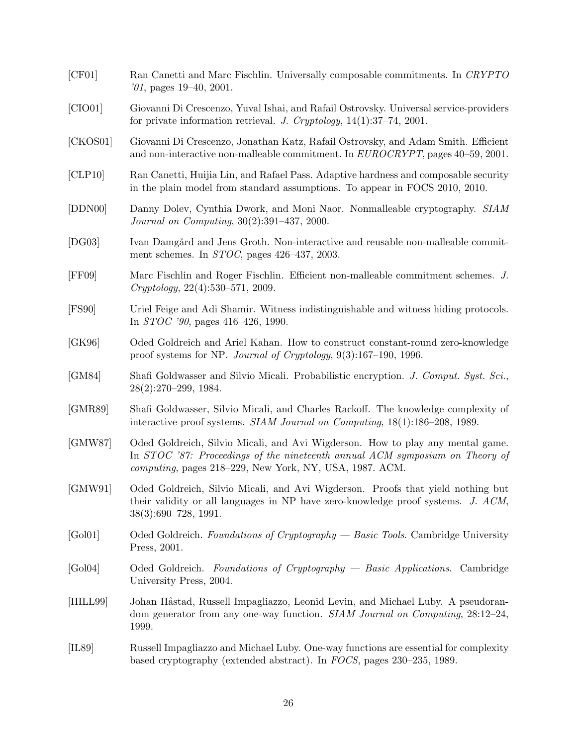- [CF01] Ran Canetti and Marc Fischlin. Universally composable commitments. In CRYPTO '01, pages 19–40, 2001.
- [CIO01] Giovanni Di Crescenzo, Yuval Ishai, and Rafail Ostrovsky. Universal service-providers for private information retrieval. J. Cryptology, 14(1):37–74, 2001.
- [CKOS01] Giovanni Di Crescenzo, Jonathan Katz, Rafail Ostrovsky, and Adam Smith. Efficient and non-interactive non-malleable commitment. In EUROCRYPT, pages 40–59, 2001.
- [CLP10] Ran Canetti, Huijia Lin, and Rafael Pass. Adaptive hardness and composable security in the plain model from standard assumptions. To appear in FOCS 2010, 2010.
- [DDN00] Danny Dolev, Cynthia Dwork, and Moni Naor. Nonmalleable cryptography. SIAM Journal on Computing, 30(2):391–437, 2000.
- [DG03] Ivan Damgård and Jens Groth. Non-interactive and reusable non-malleable commitment schemes. In STOC, pages 426–437, 2003.
- [FF09] Marc Fischlin and Roger Fischlin. Efficient non-malleable commitment schemes. J. Cryptology, 22(4):530–571, 2009.
- [FS90] Uriel Feige and Adi Shamir. Witness indistinguishable and witness hiding protocols. In STOC '90, pages 416–426, 1990.
- [GK96] Oded Goldreich and Ariel Kahan. How to construct constant-round zero-knowledge proof systems for NP. Journal of Cryptology, 9(3):167–190, 1996.
- [GM84] Shafi Goldwasser and Silvio Micali. Probabilistic encryption. J. Comput. Syst. Sci., 28(2):270–299, 1984.
- [GMR89] Shafi Goldwasser, Silvio Micali, and Charles Rackoff. The knowledge complexity of interactive proof systems. SIAM Journal on Computing, 18(1):186–208, 1989.
- [GMW87] Oded Goldreich, Silvio Micali, and Avi Wigderson. How to play any mental game. In STOC '87: Proceedings of the nineteenth annual ACM symposium on Theory of computing, pages 218–229, New York, NY, USA, 1987. ACM.
- [GMW91] Oded Goldreich, Silvio Micali, and Avi Wigderson. Proofs that yield nothing but their validity or all languages in NP have zero-knowledge proof systems. J. ACM, 38(3):690–728, 1991.
- [Gol01] Oded Goldreich. Foundations of Cryptography Basic Tools. Cambridge University Press, 2001.
- [Gol04] Oded Goldreich. Foundations of Cryptography Basic Applications. Cambridge University Press, 2004.
- [HILL99] Johan Håstad, Russell Impagliazzo, Leonid Levin, and Michael Luby. A pseudorandom generator from any one-way function. SIAM Journal on Computing, 28:12–24, 1999.
- [IL89] Russell Impagliazzo and Michael Luby. One-way functions are essential for complexity based cryptography (extended abstract). In FOCS, pages 230–235, 1989.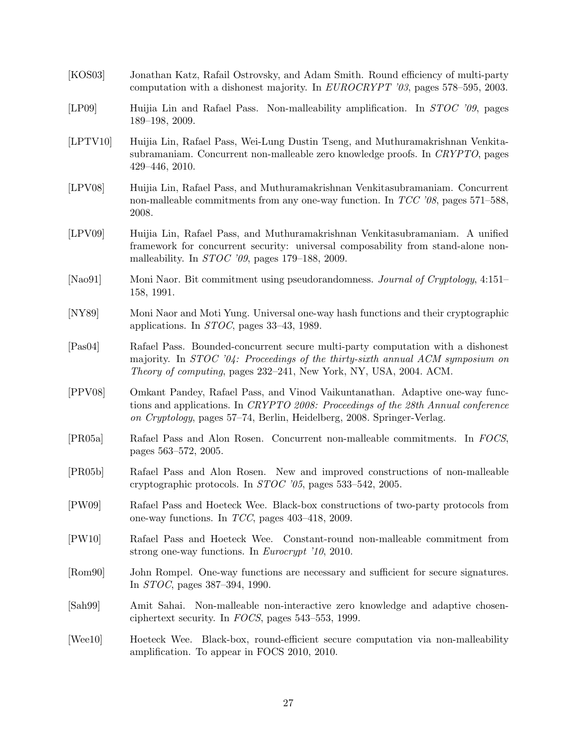| [KOS03]          | Jonathan Katz, Rafail Ostrovsky, and Adam Smith. Round efficiency of multi-party<br>computation with a dishonest majority. In EUROCRYPT '03, pages 578–595, 2003.                                                                             |
|------------------|-----------------------------------------------------------------------------------------------------------------------------------------------------------------------------------------------------------------------------------------------|
| [LP09]           | Huijia Lin and Rafael Pass. Non-malleability amplification. In <i>STOC</i> '09, pages<br>$189 - 198$ , 2009.                                                                                                                                  |
| $[{\rm LPTV10}]$ | Huijia Lin, Rafael Pass, Wei-Lung Dustin Tseng, and Muthuramakrishnan Venkita-<br>subramaniam. Concurrent non-malleable zero knowledge proofs. In CRYPTO, pages<br>429-446, 2010.                                                             |
| [LPV08]          | Huijia Lin, Rafael Pass, and Muthuramakrishnan Venkitasubramaniam. Concurrent<br>non-malleable commitments from any one-way function. In $TCC$ '08, pages 571–588,<br>2008.                                                                   |
| [LPV09]          | Huijia Lin, Rafael Pass, and Muthuramakrishnan Venkitasubramaniam. A unified<br>framework for concurrent security: universal composability from stand-alone non-<br>malleability. In $STOC$ '09, pages 179–188, 2009.                         |
| [Na091]          | Moni Naor. Bit commitment using pseudorandomness. Journal of Cryptology, 4:151–<br>158, 1991.                                                                                                                                                 |
| [NY89]           | Moni Naor and Moti Yung. Universal one-way hash functions and their cryptographic<br>applications. In <i>STOC</i> , pages $33-43$ , 1989.                                                                                                     |
| [Pas04]          | Rafael Pass. Bounded-concurrent secure multi-party computation with a dishonest<br>majority. In STOC '04: Proceedings of the thirty-sixth annual ACM symposium on<br><i>Theory of computing, pages 232–241, New York, NY, USA, 2004. ACM.</i> |
| [PPV08]          | Omkant Pandey, Rafael Pass, and Vinod Vaikuntanathan. Adaptive one-way func-<br>tions and applications. In CRYPTO 2008: Proceedings of the 28th Annual conference<br>on Cryptology, pages 57–74, Berlin, Heidelberg, 2008. Springer-Verlag.   |
| [PR05a]          | Rafael Pass and Alon Rosen. Concurrent non-malleable commitments. In FOCS,<br>pages 563–572, 2005.                                                                                                                                            |
| [PR05b]          | Rafael Pass and Alon Rosen. New and improved constructions of non-malleable<br>cryptographic protocols. In $STOC$ '05, pages 533-542, 2005.                                                                                                   |
| [PW09]           | Rafael Pass and Hoeteck Wee. Black-box constructions of two-party protocols from<br>one-way functions. In $TCC$ , pages 403-418, 2009.                                                                                                        |
| [PW10]           | Rafael Pass and Hoeteck Wee. Constant-round non-malleable commitment from<br>strong one-way functions. In <i>Eurocrypt</i> '10, 2010.                                                                                                         |
| [Rom90]          | John Rompel. One-way functions are necessary and sufficient for secure signatures.<br>In <i>STOC</i> , pages $387-394$ , 1990.                                                                                                                |
| [Sab99]          | Amit Sahai.<br>Non-malleable non-interactive zero knowledge and adaptive chosen-<br>ciphertext security. In FOCS, pages $543-553$ , 1999.                                                                                                     |
| [Wee10]          | Hoeteck Wee. Black-box, round-efficient secure computation via non-malleability<br>amplification. To appear in FOCS 2010, 2010.                                                                                                               |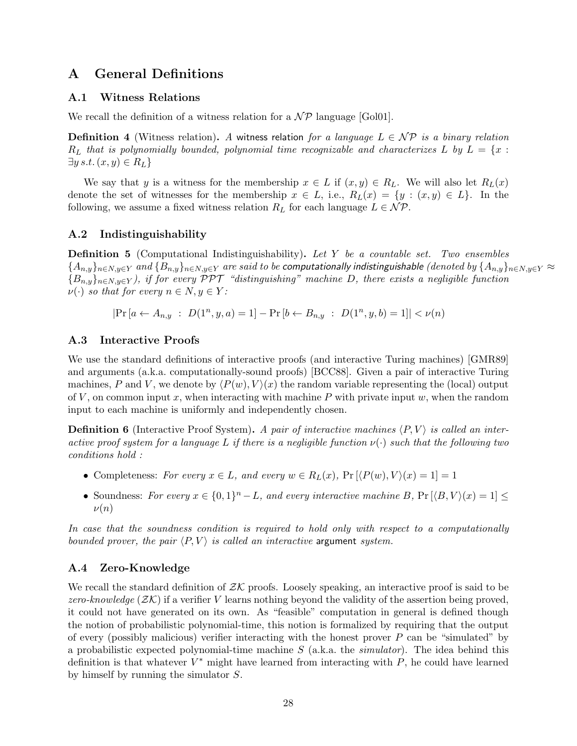# A General Definitions

## A.1 Witness Relations

We recall the definition of a witness relation for a  $\mathcal{NP}$  language [Gol01].

**Definition 4** (Witness relation). A witness relation for a language  $L \in \mathcal{NP}$  is a binary relation  $R_L$  that is polynomially bounded, polynomial time recognizable and characterizes L by  $L = \{x :$  $\exists y \, s.t. \, (x, y) \in R_L$ 

We say that y is a witness for the membership  $x \in L$  if  $(x, y) \in R_L$ . We will also let  $R_L(x)$ denote the set of witnesses for the membership  $x \in L$ , i.e.,  $R_L(x) = \{y : (x, y) \in L\}$ . In the following, we assume a fixed witness relation  $R_L$  for each language  $L \in \mathcal{NP}$ .

### A.2 Indistinguishability

Definition 5 (Computational Indistinguishability). Let Y be a countable set. Two ensembles  ${A_{n,y}}_{n\in N,y\in Y}$  and  ${B_{n,y}}_{n\in N,y\in Y}$  are said to be computationally indistinguishable (denoted by  ${A_{n,y}}_{n\in N,y\in Y} \approx$  ${B_{n,y}}_{n\in N,y\in Y}$ , if for every  $\overline{\mathcal{PT}}$  "distinguishing" machine D, there exists a negligible function  $\nu(\cdot)$  so that for every  $n \in N, y \in Y$ :

 $|\Pr[a \leftarrow A_{n,y} : D(1^n, y, a) = 1] - \Pr[b \leftarrow B_{n,y} : D(1^n, y, b) = 1]| < \nu(n)$ 

### A.3 Interactive Proofs

We use the standard definitions of interactive proofs (and interactive Turing machines) [GMR89] and arguments (a.k.a. computationally-sound proofs) [BCC88]. Given a pair of interactive Turing machines, P and V, we denote by  $\langle P(w), V \rangle (x)$  the random variable representing the (local) output of V, on common input x, when interacting with machine P with private input  $w$ , when the random input to each machine is uniformly and independently chosen.

**Definition 6** (Interactive Proof System). A pair of interactive machines  $\langle P, V \rangle$  is called an interactive proof system for a language L if there is a negligible function  $\nu(\cdot)$  such that the following two conditions hold :

- Completeness: For every  $x \in L$ , and every  $w \in R_L(x)$ ,  $\Pr[\langle P(w), V \rangle (x) = 1] = 1$
- Soundness: For every  $x \in \{0,1\}^n L$ , and every interactive machine B,  $Pr[\langle B, V \rangle(x) = 1] \le$  $\nu(n)$

In case that the soundness condition is required to hold only with respect to a computationally bounded prover, the pair  $\langle P, V \rangle$  is called an interactive argument system.

### A.4 Zero-Knowledge

We recall the standard definition of  $ZK$  proofs. Loosely speaking, an interactive proof is said to be zero-knowledge  $(ZK)$  if a verifier V learns nothing beyond the validity of the assertion being proved, it could not have generated on its own. As "feasible" computation in general is defined though the notion of probabilistic polynomial-time, this notion is formalized by requiring that the output of every (possibly malicious) verifier interacting with the honest prover  $P$  can be "simulated" by a probabilistic expected polynomial-time machine  $S$  (a.k.a. the *simulator*). The idea behind this definition is that whatever  $V^*$  might have learned from interacting with  $P$ , he could have learned by himself by running the simulator S.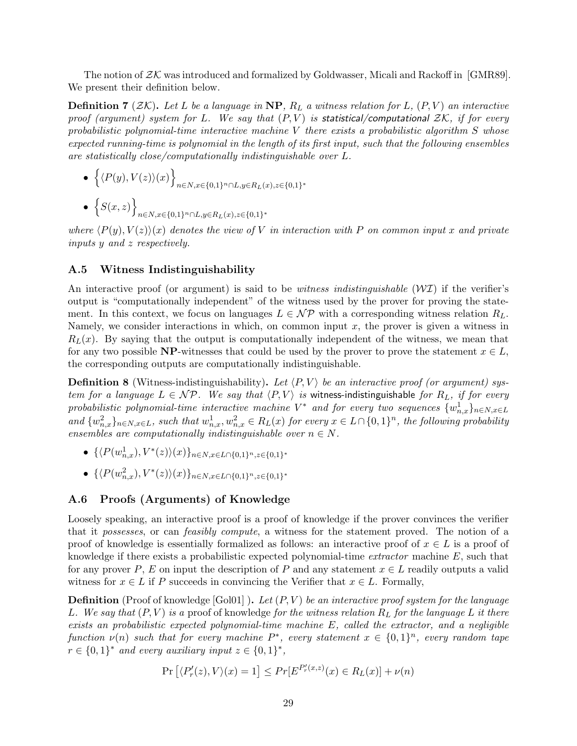The notion of  $\mathcal{ZK}$  was introduced and formalized by Goldwasser, Micali and Rackoff in [GMR89]. We present their definition below.

**Definition 7** ( $ZK$ ). Let L be a language in  $NP$ ,  $R_L$  a witness relation for L,  $(P, V)$  an interactive proof (argument) system for L. We say that  $(P, V)$  is statistical/computational ZK, if for every probabilistic polynomial-time interactive machine V there exists a probabilistic algorithm S whose expected running-time is polynomial in the length of its first input, such that the following ensembles are statistically close/computationally indistinguishable over L.

• 
$$
\left\{ \langle P(y), V(z) \rangle (x) \right\}_{n \in N, x \in \{0,1\}^n \cap L, y \in R_L(x), z \in \{0,1\}^*}
$$
  
•  $\left\{ S(x, z) \right\}_{n \in N, x \in \{0,1\}^n \cap L, y \in R_L(x), z \in \{0,1\}^*}$ 

where  $\langle P(y), V(z) \rangle (x)$  denotes the view of V in interaction with P on common input x and private inputs y and z respectively.

### A.5 Witness Indistinguishability

An interactive proof (or argument) is said to be *witness indistinguishable*  $(WI)$  if the verifier's output is "computationally independent" of the witness used by the prover for proving the statement. In this context, we focus on languages  $L \in \mathcal{NP}$  with a corresponding witness relation  $R_L$ . Namely, we consider interactions in which, on common input  $x$ , the prover is given a witness in  $R_L(x)$ . By saying that the output is computationally independent of the witness, we mean that for any two possible NP-witnesses that could be used by the prover to prove the statement  $x \in L$ , the corresponding outputs are computationally indistinguishable.

**Definition 8** (Witness-indistinguishability). Let  $\langle P, V \rangle$  be an interactive proof (or argument) system for a language  $L \in \mathcal{NP}$ . We say that  $\langle P, V \rangle$  is witness-indistinguishable for  $R_L$ , if for every probabilistic polynomial-time interactive machine  $V^*$  and for every two sequences  $\{w_{n,x}^1\}_{n\in N, x\in L}$ and  $\{w_{n,x}^2\}_{n\in\mathbb{N},x\in\mathbb{L}}$ , such that  $w_{n,x}^1, w_{n,x}^2\in R_L(x)$  for every  $x\in L\cap\{0,1\}^n$ , the following probability ensembles are computationally indistinguishable over  $n \in N$ .

- $\{ \langle P(w_{n,x}^1), V^*(z) \rangle (x) \}_{n \in N, x \in L \cap \{0,1\}^n, z \in \{0,1\}^*}$
- $\{P(w_{n,x}^2), V^*(z)\}(x)\}_{n\in N, x\in L\cap\{0,1\}^n, z\in\{0,1\}^*}$

### A.6 Proofs (Arguments) of Knowledge

Loosely speaking, an interactive proof is a proof of knowledge if the prover convinces the verifier that it possesses, or can feasibly compute, a witness for the statement proved. The notion of a proof of knowledge is essentially formalized as follows: an interactive proof of  $x \in L$  is a proof of knowledge if there exists a probabilistic expected polynomial-time extractor machine E, such that for any prover P, E on input the description of P and any statement  $x \in L$  readily outputs a valid witness for  $x \in L$  if P succeeds in convincing the Verifier that  $x \in L$ . Formally,

**Definition** (Proof of knowledge [Gol01]). Let  $(P, V)$  be an interactive proof system for the language L. We say that  $(P, V)$  is a proof of knowledge for the witness relation  $R_L$  for the language L it there exists an probabilistic expected polynomial-time machine E, called the extractor, and a negligible function  $\nu(n)$  such that for every machine  $P^*$ , every statement  $x \in \{0,1\}^n$ , every random tape  $r \in \{0,1\}^*$  and every auxiliary input  $z \in \{0,1\}^*$ ,

$$
\Pr\left[\langle P'_r(z),V\rangle(x)=1\right]\leq \Pr[E^{P'_r(x,z)}(x)\in R_L(x)]+\nu(n)
$$